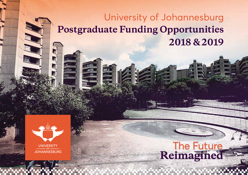# University of Johannesburg **Postgraduate Funding Opportunities 2018 & 2019**

1

E



# The Future<br>Reimagined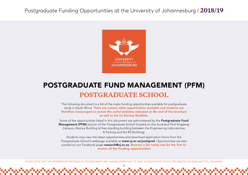

# POSTGRADUATE FUND MANAGEMENT (PFM) **POSTGRADUATE SCHOOL**

The following document is a list of the major funding opportunities available for postgraduate study in South Africa. There are various other opportunities available and students are therefore encouraged to review the useful websites indicated at the end of this brochure as well as the UJ Bursary Booklets.

Some of the opportunities listed in this document are administered by the Postgraduate Fund Management (PFM) section of the Postgraduate School located on the Auckland Park Kingsway Campus, Akanya Building (a free standing building between the Engineering Laboratories, A Parking and the B5 Building).

Students may view the latest opportunities and download application forms from the Postgraduate School's webpage available at www.uj.ac.za/postgrad. Opportunities are also posted on our Facebook page research@uj.ac.za. Become a fan today and be the first to receive all the funding opportunities!

PLEASE NOTE THAT THE INFORMATION PROVIDED IN THIS DOCUMENT MAY CHANGE FROM YEAR TO YEAR. STUDENTS MUST CHECK FOR UPDATES ON DEADLINES ETC. REGULARLY.

2

in a chua chua chua chua chua chua chua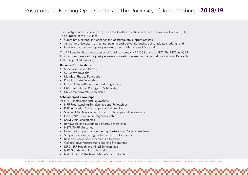The Postgraduate School (PGS) is located within the Research and Innovation Division (RID). The purpose of the PGS is to:

- Coordinate, extend and enhance the postgraduate support systems;
- Assist the University in attracting, training and delivering quality postgraduate students; and
- Increase the number of postgraduate students (Master's and Doctoral).

The PFS section has three sources of funding, namely NRF, GES and the URC. The URC and GES funding comprises various postgraduate scholarships as well as the central Postdoctoral Research Fellowship (PDRF) funding.

#### Bursaries/Scholarships

- Supervisor-Linked Bursary
- UJ-Commonwealth
- Mandela Rhodes Foundation
- Postdoctorate Fellowships
- DST-CSIR Inter-Bursary Support Programme
- URC International Prestigious Scholarships
- UK Commonwealth Scholarship

#### Scholarships/Fellowships

All NRF Scholarships and Fellowships

- NRF Free-standing Scholarships and Fellowships
- DSF Innovation Scholarships and Fellowships
- Scarce Skills Development Fund Scholarships and Fellowships
- DAAD/NRF Joint In-country Scholarship
- SANHARP Scholarships
- Renewable and Sustainable Energy Scholarship
- NSTF/THRIP Bursaries
- Extended support for completing Master's and Doctoral students
- Support for completing part-time Doctoral students
- Research Career Advancement Fellowships
- Collaborative Postgraduate Training Programme
- MRC-NRF Health and Allied Scholarships
- NRF Grantholder-linked bursaries
- NRF Honours/BTech and Master's Block Grants

PLEASE NOTE THAT THE INFORMATION PROVIDED IN THIS DOCUMENT MAY CHANGE FROM YEAR TO YEAR. STUDENTS MUST CHECK FOR UPDATES ON DEADLINES ETC. REGULARLY.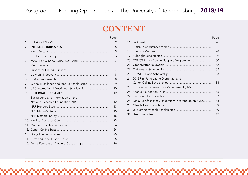# **CONTENT**

|                |                                            | Page           |
|----------------|--------------------------------------------|----------------|
| $\mathbf{1}$ . |                                            | $\overline{2}$ |
| 2.             |                                            | 5              |
|                |                                            | 5              |
|                |                                            | 6              |
| 3.             |                                            | 7              |
|                |                                            | 7              |
|                |                                            | $\overline{7}$ |
| 4.             |                                            | 8              |
| 6.             |                                            | 8              |
| 7.             | Global Excellence and Stature Scholarships | 9              |
| 8.             | URC International Prestigious Scholarships | 10             |
| 9.             |                                            | 12             |
|                | Background and Information on the          |                |
|                |                                            | 12             |
|                |                                            | 13             |
|                |                                            | 15             |
|                |                                            | 18             |
|                |                                            | 23             |
|                |                                            | 24             |
|                |                                            | 24             |
|                |                                            | 25             |
|                |                                            | 25             |
|                | 15. Fuchs Foundation Doctoral Scholarships | 26             |
|                |                                            |                |

|                                                        | Page |
|--------------------------------------------------------|------|
|                                                        | 26   |
|                                                        | 27   |
|                                                        | 28   |
|                                                        | 29   |
| 20. DST-CSIR Inter-Bursary Support Programme           | 30   |
|                                                        | 32   |
|                                                        | 32   |
|                                                        | 33   |
| 24. 2015 FirstRand Laurie Dippenaar and                |      |
|                                                        | 34   |
| 25. Environmental Resources Management (ERM)           | 35   |
|                                                        | 36   |
|                                                        | 37   |
| 28. Die Suid-Afrikaanse Akademie vir Wetenskap en Kuns | 38   |
|                                                        | 39   |
|                                                        | 40   |
|                                                        | 42   |

PLEASE NOTE THAT THE INFORMATION PROVIDED IN THIS DOCUMENT MAY CHANGE FROM YEAR TO YEAR. STUDENTS MUST CHECK FOR UPDATES ON DEADLINES ETC. REGULARLY.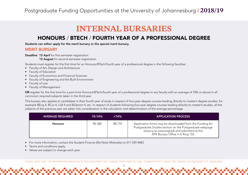# **INTERNAL BURSARIES**

## HONOURS / BTECH / FOURTH YEAR OF A PROFESSIONAL DEGREE

Students can either apply for the merit bursary or the special merit bursary.

#### MERIT BURSARY

Deadline: 15 April for first semester registration **15 August** for second semester registration

Students must register for the first time for an Honours/BTech/fourth year of a professional degree in the following faculties:

- Faculty of Art, Design and Architecture
- Faculty of Education
- Faculty of Economics and Financial Sciences
- Faculty of Engineering and the Built Environment
- Faculty of Law
- Faculty of Management

OR register for the first time for a part-time Honours/BTech/fourth year of a professional degree in any faculty with an average of 70% or above in all curriculum required subjects taken in the third year.

This bursary also applies to candidates in their fourth year of study in respect of four-year degree courses leading directly to master's degree studies, for example BEng 4, BCur 4, LLB 4 and BOptom 4, etc. In respect of students following four-year degree courses leading directly to master's studies, all the subjects of the previous year are taken into consideration in the calculation and determination of the average percentage.

| <b>AVERAGE REQUIRED</b> | $70 - 74%$ | >74%   | <b>APPLICATION PROCESS</b>                                                                                                                                                                                |
|-------------------------|------------|--------|-----------------------------------------------------------------------------------------------------------------------------------------------------------------------------------------------------------|
| <b>Honours</b>          | R6 580     | R8 770 | Application forms may be downloaded from the Funding for<br>Postgraduate Studies section on the Postgraduate webpage<br>(www.uj.ac.za/postgrad) and submitted at the<br>APK Bursary Office in E Ring 133. |

- For more information, contact the Student Finance (Ms Noko Mokoele) on 011 559 4483.
- Terms and conditions apply.
- Values are subject to change each year.

PLEASE NOTE THAT THE INFORMATION PROVIDED IN THIS DOCUMENT MAY CHANGE FROM YEAR TO YEAR. STUDENTS MUST CHECK FOR UPDATES ON DEADLINES ETC. REGULARLY.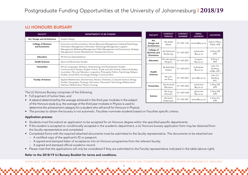## UJ HONOURS BURSARY

| <b>FACULTY</b>                              | <b>DEPARTMENTS TO BE FUNDED</b>                                                                                                                                                                                                                                                                                     |
|---------------------------------------------|---------------------------------------------------------------------------------------------------------------------------------------------------------------------------------------------------------------------------------------------------------------------------------------------------------------------|
| Art, Design and Architecture                | Graphic Design                                                                                                                                                                                                                                                                                                      |
| <b>College of Business</b><br>and Economics | Economics and Econometrics; Human Resources Management; Industrial Psychology;<br>Information Management; Information Technology Management; Logistics<br>Management; Marketing Management; Public Management and Governance; Strategic<br>Management; Tourism Development; Transport Economics                     |
| <b>Education</b>                            | All Honours Specialisations                                                                                                                                                                                                                                                                                         |
| <b>Health Sciences</b>                      | Sport and Movement Studies                                                                                                                                                                                                                                                                                          |
| <b>Humanities</b>                           | African Languages, Afrikaans, Anthropology and Development Studies,<br>Communication Studies, English, French, Greek and Latin Studies, Historical Studies,<br>Journalism, Film and Television, Linguistics, Philosophy, Politics, Psychology, Religion<br>Studies, Social Work, Sociology, Strategic Communication |
| <b>Faculty of Science</b>                   | Applied Mathematics; Biochemistry; Botany; Chemistry; Computer Science; Energy<br>Studies; Geography; Geology; Informatics; Information Technology; Mathematical<br>Statistics; Mathematics; Physics; Zoology                                                                                                       |

PERSON NUMBER EMAIL | LOCATION Art, Design and Architecture Ms Adele Ms Adele | 011 559 1126 | amaritz@uj.ac.za | Admin Office,<br>Maritz | 011 559 1126 | amaritz@uj.ac.za | FADA, APB FADA, APB College of Business and Economics Mr Nathaniel 011 559 2522 nathanielm @uj.ac.za A Ring 229 APK **Education** Ms Lebogang 011 559 3051 | lmogano @uj.ac.za B Ring 3 APK Health Sciences Ms Bathabile  $\begin{array}{|c|c|c|}\n\hline\n\text{Is Bathabile} & 011\,559\,6373 & \text{bathabilev} \\
\hline\n\text{Vilakazi} & 011\,559\,6373 & \text{Quiac.za}\n\hline\n\end{array}$ @uj.ac.za John Orr Building 5108e, DFC Ms Lynn van Rooy <sup>011</sup> 559 6967 lynnvr@uj.ac.za John Orr Building DFC Humanities | Ms Amanda 011 559 3644 ambozana @uj.ac.za C Ring 234 APK Science Ms Gugu Ms Gugu | 011 559 4168 | gkhumalo<br>Khumalo | 011 559 4168 | Qui.ac.za @uj.ac.za C Ring 204 APK Ms Sarita Ms Sarita  $\begin{array}{|c|c|c|c|c|}\n\hline\n\text{Rademever} & 011\,559\,3357 & \text{saritar@uj.ac.za} & \begin{array}{c}\n\text{C Ring 217} \\
\text{APK}\n\end{array}\n\end{array}$ APK

**CONTACT** 

EMAIL

FACULTY CONTACT

The UJ Honours Bursary comprises of the following:

- Full payment of tuition fees, and
- A stipend determined by the average achieved in the third year modules in the subject of the Honours study (e.g. the average of the third year modules in Physics is used to determine the achievement category for a student who will enroll for Honours in Physics).
- The process to obtain the bursary is not automatic. Faculties nominate students based on Faculties specific criteria.

#### Application process

- Students must first submit an application to be accepted for an Honours degree within the specified specific departments.
- If the student is accepted or conditionally accepted in the academic department, a UJ Honours bursary application form may be obtained from the faculty representative and completed.
- Completed forms with the required attached documents must be submitted to the faculty representative. The documents to be attached are:
	- A certified copy of the applicant's ID or passport;
	- A signed and stamped letter of acceptance into an Honours programme from the relevant faculty;
	- A signed and stamped official academic record.
- Please note that the applications will only be considered if they are submitted to the Faculty representative indicated in the table (above right).

#### Refer to the 2018/19 UJ Bursary Booklet for terms and conditions.

PLEASE NOTE THAT THE INFORMATION PROVIDED IN THIS DOCUMENT MAY CHANGE FROM YEAR TO YEAR. STUDENTS MUST CHECK FOR UPDATES ON DEADLINES ETC. REGULARLY.

6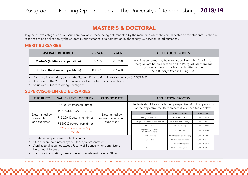## MASTER'S & DOCTORAL

In general, two categories of bursaries are available, these being differentiated by the manner in which they are allocated to the students – either in response to an application by the student (Merit bursaries) or a nomination by the faculty (Supervisor-linked bursaries).

#### MERIT BURSARIES

| <b>AVERAGE REQUIRED</b>            | 70-74%              | $>74\%$             | <b>APPLICATION PROCESS</b>                                                                                           |
|------------------------------------|---------------------|---------------------|----------------------------------------------------------------------------------------------------------------------|
| Master's (full-time and part-time) | R7 130              | R <sub>10</sub> 970 | Application forms may be downloaded from the Funding for<br>Postgraduate Studies section on the Postgraduate webpage |
| Doctoral (full-time and part-time) | R <sub>10</sub> 970 | R <sub>16</sub> 460 | (www.uj.ac.za/postgrad) and submitted at the<br>APK Bursary Office in E Ring 133.                                    |

• For more information, contact the Student Finance (Ms Noko Mokoele) on 011 559 4483.

• Also refer to the 2018/19 UJ Bursary Booklet for terms and conditions.

• Values are subject to change each year.

#### SUPERVISOR-LINKED BURSARIES

| <b>ELIGIBILITY</b>                            | <b>VALUE / LEVEL OF STUDY</b>      | <b>CLOSING DATE</b>                                 |                                                                                                                                | <b>APPLICATION PROCESS</b>               |                              |
|-----------------------------------------------|------------------------------------|-----------------------------------------------------|--------------------------------------------------------------------------------------------------------------------------------|------------------------------------------|------------------------------|
|                                               | R7 200 (Master's full-time)        |                                                     | Students should approach their prospective M or D supervisors,<br>or the respective faculty representatives - see table below. |                                          |                              |
| Determined by                                 | R3 600 (Master's part-time)        | Determined by<br>relevant faculty and<br>supervisor | Faculty                                                                                                                        | Contact person                           | Contact no.                  |
| relevant faculty                              | R13 200 (Doctoral full-time)       |                                                     | Art, Design and Architecture                                                                                                   | Ms Adele Maritz                          | 011 559 1126                 |
| and supervisor                                | R6 600 (Doctoral part-time)        |                                                     | College of Business and Economics<br>Education                                                                                 | Mr Nathaniel Mudzunga<br>Ms Rachel Steyl | 011 559 2522<br>011 559 3263 |
|                                               | * Values determined by<br>faculty. | Engineering and the<br><b>Built Environment</b>     | Ms Dudu Kanyi                                                                                                                  | 011 559 2109                             |                              |
|                                               |                                    |                                                     | <b>Health Sciences</b>                                                                                                         | Ms Elizabeth van der Berg                | 011 559 6704                 |
| • Full-time and part-time students can apply. |                                    |                                                     | Humanities                                                                                                                     | Ms Amanda Mbozana                        | 011 559 3644                 |

- Students are nominated by their faculty representative.
- Applies to all faculties except Faculty of Science which administers bursaries differently.
- For more information, please contact the relevant Faculty Officer.

PLEASE NOTE THAT THE INFORMATION PROVIDED IN THIS DOCUMENT MAY CHANGE FROM YEAR TO YEAR. STUDENTS MUST CHECK FOR UPDATES ON DEADLINES ETC. REGULARLY.

Law Ms Phaladi Magongoa | 011 559 3843 Science Ms Liezel van Greune 1011 559 3751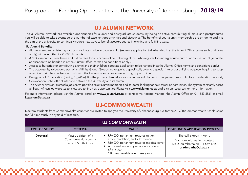## UJ ALUMNI NETWORK

The UJ Alumni Network has available opportunities for alumni and postgraduate students. By being an active contributing alumnus and postgraduate you will be able to take advantage of a number of excellent opportunities and discounts. The benefits of your alumni membership are on-going and it is the aim of the university to continually source new ways to benefit postgraduates in exciting and fulfilling ways.

#### UJ-Alumni Benefits

- Alumni members registering for post-graduate curricular courses at UJ (separate application to be handed in at the Alumni Office, terms and conditions apply) will be entitled to R1 000 discounts.
- A 10% discount on residence and tuition fees for all children of contributing alumni who register for undergraduate curricular courses at UJ (separate application to be handed in at the Alumni Office, terms and conditions apply).
- Access to bursaries for contributing alumni and their children (separate application to be handed in at the Alumni Office, terms and conditions apply).
- The opportunity to become part of an Affinity Group. Groups are organized specifically around a special interest or unifying purpose, helping to keep alumni with similar mindsets in touch with the University and creates networking opportunities.
- Being part of Convocation (*calling together*). It is the primary channel for your opinions as UJ alumni to be passed back to UJ for consideration. In short, Convocation is the official interface between the University and its alumni.
- The Alumni Network created a job search portal to assist alumni members and students looking for new career opportunities. The system constantly scans all South African job websites to allow you to find new opportunities. Please visit www.ujalumni.co.za and click on resources for more information.

For more information, please visit the Alumni portal on www.ujalumni.co.za or contact Ms Kopano Manoto, the Alumni Office on 011 559 5531 or email kopanom@uj.ac.za

## UJ-COMMONWEALTH

Doctoral students from Commonwealth countries are invited to apply to the University of Johannesburg (UJ) for the 2017/18 Commonwealth Scholarships for full-time study in any field of research.

| <b>UJ-COMMONWEALTH</b> |                                                                     |                                                                                                                                                                                                                 |                                                                                                                       |  |  |
|------------------------|---------------------------------------------------------------------|-----------------------------------------------------------------------------------------------------------------------------------------------------------------------------------------------------------------|-----------------------------------------------------------------------------------------------------------------------|--|--|
| <b>LEVEL OF STUDY</b>  | <b>CRITERIA</b>                                                     | <b>VALUE</b>                                                                                                                                                                                                    | <b>DEADLINE &amp; APPLICATION PROCESS</b>                                                                             |  |  |
| <b>Doctoral</b>        | Must be citizen of a<br>Commonwealth country<br>except South Africa | R70 000* per annum towards tuition,<br>accommodation, and subsistence<br>R10 000* per annum towards medical cover<br>A once-off economy airfare up to a max<br>of R15 000<br>* Bursary tenable over three years | The call is open in April.<br>For more information, contact<br>Ms Dudu Mbatha on 011 559 4016<br>or rdmbatha@uj.ac.za |  |  |

PLEASE NOTE THAT THE INFORMATION PROVIDED IN THIS DOCUMENT MAY CHANGE FROM YEAR TO YEAR. STUDENTS MUST CHECK FOR UPDATES ON DEADLINES ETC. REGULARLY.

<u>իստականականական պատասխանական անվանակա</u>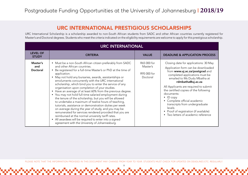## URC INTERNATIONAL PRESTIGIOUS SCHOLARSHIPS

URC International Scholarship is a scholarship awarded to non-South African students from SADC and other African countries currently registered for Master's and Doctoral degrees. Students who meet the criteria indicated on the eligibility requirements are welcome to apply for this prestigious scholarship.

|                                    | <b>URC INTERNATIONAL</b>                                                                                                                                                                                                                                                                                                                                                                                                                                                                                                                                                                                                                                                                                                                                                                                                                                                                                                                                                                             |                                                    |                                                                                                                                                                                                                                                                                                                                                                                                                                                                          |  |  |  |  |
|------------------------------------|------------------------------------------------------------------------------------------------------------------------------------------------------------------------------------------------------------------------------------------------------------------------------------------------------------------------------------------------------------------------------------------------------------------------------------------------------------------------------------------------------------------------------------------------------------------------------------------------------------------------------------------------------------------------------------------------------------------------------------------------------------------------------------------------------------------------------------------------------------------------------------------------------------------------------------------------------------------------------------------------------|----------------------------------------------------|--------------------------------------------------------------------------------------------------------------------------------------------------------------------------------------------------------------------------------------------------------------------------------------------------------------------------------------------------------------------------------------------------------------------------------------------------------------------------|--|--|--|--|
| <b>LEVEL OF</b><br><b>STUDY</b>    | <b>CRITERIA</b>                                                                                                                                                                                                                                                                                                                                                                                                                                                                                                                                                                                                                                                                                                                                                                                                                                                                                                                                                                                      | <b>VALUE</b>                                       | <b>DEADLINE &amp; APPLICATION PROCESS</b>                                                                                                                                                                                                                                                                                                                                                                                                                                |  |  |  |  |
| Master's<br>and<br><b>Doctoral</b> | • Must be a non-South African citizen preferably from SADC<br>and other African countries.<br>Be registered for a full-time Master's or PhD at the time of<br>application.<br>May not hold any bursaries, awards, assistantships or<br>emoluments concurrently with the URC international<br>scholarship, which bind you to enter the service of any<br>organisation upon completion of your studies.<br>Have an average of at least 60% from the previous degree.<br>You may not hold full-time salaried employment during<br>the tenure of the scholarship, but you will be allowed<br>to undertake a maximum of twelve hours of teaching,<br>tutorials, assistance or demonstration duties per week<br>on average during the year of study, and you may be<br>remunerated for services rendered provided that you are<br>reimbursed at the normal university tariff rates.<br>All awardees will be required to enter into a signed<br>$\bullet$<br>agreement with the University of Johannesburg. | R65 000 for<br>Master's<br>R95 000 for<br>Doctoral | Closing date for applications: 30 May<br>Application form can be downloaded<br>from www.uj.ac.za/postgrad and<br>completed applications must be<br>emailed to Ms Dudu Mbatha at<br>rdmbatha@uj.ac.za<br>All Applicants are required to submit<br>the certified copies of the following<br>documents:<br>ID copy<br>Complete official academic<br>transcripts from undergraduate<br>levels<br>Proof of registration (if available)<br>• Two letters of academic reference |  |  |  |  |

PLEASE NOTE THAT THE INFORMATION PROVIDED IN THIS DOCUMENT MAY CHANGE FROM YEAR TO YEAR. STUDENTS MUST CHECK FOR UPDATES ON DEADLINES ETC. REGULARLY.

かんこうしょうしょうしょうしょうしょうしょうしょうしょうしょうしょうしょ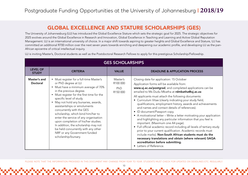## GLOBAL EXCELLENCE AND STATURE SCHOLARSHIPS (GES)

The University of Johannesburg (UJ) has introduced the Global Excellence Stature which sets the strategic goal for 2025. The strategic objectives for 2025 evolves around the Global Excellence in Research and Innovation, Global Excellence in Teaching and Learning and Active Global Reputation Management. UJ is an international university of choice. In a major shift towards aspiring to greater heights and Global Excellence and Stature, UJ has committed an additional R700 million over the next seven years towards enriching and deepening our academic profile, and developing UJ as the pan-African epicentre of critical intellectual inquiry.

UJ is inviting Master's, Doctoral students as well as the Postdoctoral Research Fellows to apply for this prestigious Scholarship/Fellowship.

|                                 | <b>GES SCHOLARSHIPS</b>                                                                                                                                                                                                                                                                                                                                                                                                                                                                                                                                                         |                                         |                                                                                                                                                                                                                                                                                                                                                                                                                                                                                                                                                                                                                                                                                                                                                                                                                                                                                                                                                                                                       |  |  |
|---------------------------------|---------------------------------------------------------------------------------------------------------------------------------------------------------------------------------------------------------------------------------------------------------------------------------------------------------------------------------------------------------------------------------------------------------------------------------------------------------------------------------------------------------------------------------------------------------------------------------|-----------------------------------------|-------------------------------------------------------------------------------------------------------------------------------------------------------------------------------------------------------------------------------------------------------------------------------------------------------------------------------------------------------------------------------------------------------------------------------------------------------------------------------------------------------------------------------------------------------------------------------------------------------------------------------------------------------------------------------------------------------------------------------------------------------------------------------------------------------------------------------------------------------------------------------------------------------------------------------------------------------------------------------------------------------|--|--|
| <b>LEVEL OF</b><br><b>STUDY</b> | <b>CRITERIA</b>                                                                                                                                                                                                                                                                                                                                                                                                                                                                                                                                                                 | <b>VALUE</b>                            | <b>DEADLINE &amp; APPLICATION PROCESS</b>                                                                                                                                                                                                                                                                                                                                                                                                                                                                                                                                                                                                                                                                                                                                                                                                                                                                                                                                                             |  |  |
| Master's and<br>Doctoral        | • Must register for a full-time Master's<br>or PhD degree at UJ<br>• Must have a minimum average of 70%<br>in the previous degree.<br>• Must register for the first time for the<br>specific level of study.<br>• May not hold any bursaries, awards,<br>assistantships or emoluments<br>concurrently with the GES<br>scholarship, which bind him/her to<br>enter the service of any organisation<br>upon completion of his/her studies.<br>In addition, the scholarship may not<br>be held concurrently with any other<br>NRF or any Government funded<br>scholarship/bursary. | Master's<br>R100 000<br>PhD<br>R150 000 | Closing date for application: 15 October<br>Application forms will be available from:<br>www.uj.ac.za/postgrad, and completed applications can be<br>emailed to Ms Dudu Mbatha at rdmbatha@uj.ac.za<br>All applicants must attach the following documents:<br>Curriculum Vitae (clearly indicating your study field,<br>$\bullet$<br>qualifications, employment history, awards and achievements<br>and names and contact details of references).<br>• ID document/Passport copy.<br>• A motivational letter - Write a letter motivating your application<br>and highlighting any particular information that you feel is<br>important. (Maximum one A4 page).<br>• Full official academic record including all levels of tertiary study<br>prior to your current qualification. Academic records must<br>include marks). Non-South African students must do the<br>necessary translations and obtain (where relevant) SAQA<br>accreditation before submitting.<br>Letters of Reference.<br>$\bullet$ |  |  |

PLEASE NOTE THAT THE INFORMATION PROVIDED IN THIS DOCUMENT MAY CHANGE FROM YEAR TO YEAR. STUDENTS MUST CHECK FOR UPDATES ON DEADLINES ETC. REGULARLY.

անանանանանանանանանանանական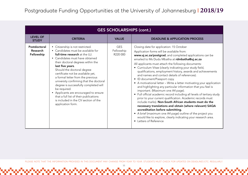| <b>GES SCHOLARSHIPS (cont.)</b>               |                                                                                                                                                                                                                                                                                                                                                                                                                                                                                                                                                                 |                                      |                                                                                                                                                                                                                                                                                                                                                                                                                                                                                                                                                                                                                                                                                                                                                                                                                                                                                                                                                                                                                                                                                                               |  |  |
|-----------------------------------------------|-----------------------------------------------------------------------------------------------------------------------------------------------------------------------------------------------------------------------------------------------------------------------------------------------------------------------------------------------------------------------------------------------------------------------------------------------------------------------------------------------------------------------------------------------------------------|--------------------------------------|---------------------------------------------------------------------------------------------------------------------------------------------------------------------------------------------------------------------------------------------------------------------------------------------------------------------------------------------------------------------------------------------------------------------------------------------------------------------------------------------------------------------------------------------------------------------------------------------------------------------------------------------------------------------------------------------------------------------------------------------------------------------------------------------------------------------------------------------------------------------------------------------------------------------------------------------------------------------------------------------------------------------------------------------------------------------------------------------------------------|--|--|
| <b>LEVEL OF</b><br><b>STUDY</b>               | <b>CRITERIA</b>                                                                                                                                                                                                                                                                                                                                                                                                                                                                                                                                                 | <b>VALUE</b>                         | <b>DEADLINE &amp; APPLICATION PROCESS</b>                                                                                                                                                                                                                                                                                                                                                                                                                                                                                                                                                                                                                                                                                                                                                                                                                                                                                                                                                                                                                                                                     |  |  |
| Postdoctoral<br><b>Research</b><br>Fellowship | • Citizenship is not restricted.<br>• Candidates must be available for<br>full-time research at the UJ.<br>• Candidates must have obtained<br>their doctoral degrees within the<br>last five years.<br>Should the doctoral degree<br>certificate not be available yet,<br>a formal letter from the previous<br>university confirming that the doctoral<br>degree is successfully completed will<br>be required.<br>• Applicants are encouraged to ensure<br>that a full list of their publications<br>is included in the CV section of the<br>application form. | <b>GES</b><br>Fellowship<br>R220 000 | Closing date for application: 15 October<br>Application forms will be available from:<br>www.uj.ac.za/postgrad, and completed applications can be<br>emailed to Ms Dudu Mbatha at rdmbatha@uj.ac.za<br>All applicants must attach the following documents:<br>• Curriculum Vitae (clearly indicating your study field,<br>qualifications, employment history, awards and achievements<br>and names and contact details of references).<br>• ID document/Passport copy.<br>• A motivational letter - Write a letter motivating your application<br>and highlighting any particular information that you feel is<br>important. (Maximum one A4 page).<br>• Full official academic record including all levels of tertiary study<br>prior to your current qualification. Academic records must<br>include marks). Non-South African students must do the<br>necessary translations and obtain (where relevant) SAQA<br>accreditation before submitting.<br>• A brief (maximum one A4 page) outline of the project you<br>would like to explore, clearly indicating your research area.<br>• Letters of Reference |  |  |

PLEASE NOTE THAT THE INFORMATION PROVIDED IN THIS DOCUMENT MAY CHANGE FROM YEAR TO YEAR. STUDENTS MUST CHECK FOR UPDATES ON DEADLINES ETC. REGULARLY.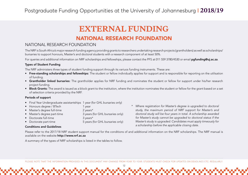# **EXTERNAL FUNDING**

## NATIONAL RESEARCH FOUNDATION

## NATIONAL RESEARCH FOUNDATION

The NRF is South Africa's major research funding agency providing grants to researchers undertaking research projects (grantholders) as well as scholarships/ bursaries to support honours, Master's and doctoral students with a research component of at least 50%.

For queries and additional information on NRF scholarships and fellowships, please contact the PFS at 011 559 3780/4530 or email **pafunding@uj.ac.za.** 

#### Types of Student Funding

The NRF administers three types of student funding support through its variuos funding instruments. These are:

- Free-standing scholarships and fellowships: The student or fellow individually applies for support and is responsible for reporting on the utilisation of funding.
- Grantholder linked bursaries: The grantholder applies for NRF funding and nominates the student or fellow for support under his/her research project funding.
- Block Grants: The award is issued as a block grant to the institution, where the institution nominates the student or fellow for the grant based on a set of selection criteria provided by the NRF.

#### Periods of support

- Final Year Undergraduate assistantships 1 year (for GHL bursaries only)
- Honours degree / BTech 1 year
- Master's degree full-time 2 years\*
- Master's degree part-time 3 years (for GHL bursaries only)
- Doctorate full-time 3 years\*
- Doctorate part-time 5 years (for GHL bursaries only)
- *\* Where registration for Master's degree is upgraded to doctoral study, the maximum period of NRF support for Master's and doctoral study will be four years in total. A scholarship awarded for Master's study cannot be upgraded to doctoral status if the Master's study is upgraded. Candidates must apply timeously for a scholarship before the applicable closing date.*

#### Conditions and Guidelines

Please refer to the 2017/18 NRF student support manual for the conditions of and additional information on the NRF scholarships. The NRF manual is available on the website http://www.nrf.ac.za

A summary of the types of NRF scholarships is listed in the tables to follow.

PLEASE NOTE THAT THE INFORMATION PROVIDED IN THIS DOCUMENT MAY CHANGE FROM YEAR TO YEAR. STUDENTS MUST CHECK FOR UPDATES ON DEADLINES ETC. REGULARLY.

12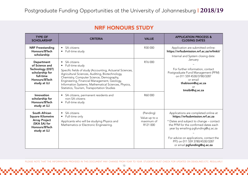## NRF HONOURS STUDY

| <b>TYPE OF</b><br><b>SCHOLARSHIP</b>                                                                                    | <b>CRITERIA</b>                                                                                                                                                                                                                                                                                                                                                 | <b>VALUE</b>                                         | <b>APPLICATION PROCESS &amp;</b><br><b>CLOSING DATES</b>                                                                                                                                                                                                                                                     |
|-------------------------------------------------------------------------------------------------------------------------|-----------------------------------------------------------------------------------------------------------------------------------------------------------------------------------------------------------------------------------------------------------------------------------------------------------------------------------------------------------------|------------------------------------------------------|--------------------------------------------------------------------------------------------------------------------------------------------------------------------------------------------------------------------------------------------------------------------------------------------------------------|
| <b>NRF Freestanding</b><br>Honours/BTech<br>scholarship                                                                 | SA citizens<br>Full-time study                                                                                                                                                                                                                                                                                                                                  | R30 000                                              | Application are submitted online:<br>https://nrfsubmission.nrf.ac.za/nrfmkii/<br>Internal and System closing date:                                                                                                                                                                                           |
| Department<br>of Science and<br>Technology (DST)<br>scholarship for<br>full-time<br>Honours/BTech<br>study at UJ        | SA citizens<br>$\bullet$<br>• Full-time study<br>Specific fields of study (Accounting, Actuarial Sciences,<br>Agricultural Sciences, Auditing, Biotechnology,<br>Chemistry, Computer Science, Demography,<br>Engineering, Financial Management, Geology,<br>Information Systems, Mathematical Sciences, Physics,<br>Statistics, Tourism, Transportation Studies | R76 000                                              | January<br>For further information, contact<br>Postgraduate Fund Management (PFM)<br>on 011 559 4530/3780/3287<br>or email<br>thabisom@uj.ac.za<br>or<br>tmsibi@uj.ac.za                                                                                                                                     |
| Innovation<br>scholarship for<br>Honours/BTech<br>study at UJ                                                           | SA citizens, permanent residents and<br>$\bullet$<br>non-SA citizens<br>• Full-time study                                                                                                                                                                                                                                                                       | R60000                                               |                                                                                                                                                                                                                                                                                                              |
| <b>South African</b><br><b>Square Kilometre</b><br><b>Array Project</b><br>(SKA SA) for<br>Honours/BTech<br>study at UJ | SA citizens<br>Full-time only<br>$\bullet$<br>Applicants who will be studying Physics and<br>Mathematics or Electronic Engineering.                                                                                                                                                                                                                             | (Pending)<br>Value up to a<br>maximum of<br>R121 000 | Applications are completed online at<br>https://nrfsubmission.nrf.ac.za<br>* Dates and subject to change - contact<br>the PFM for the confirmed dates each<br>year by emailing pgfunding@uj.ac.za<br>For advice on applications, contact the<br>PFS on 011 559 3780/4530/3287<br>or email pgfunding@uj.ac.za |

PLEASE NOTE THAT THE INFORMATION PROVIDED IN THIS DOCUMENT MAY CHANGE FROM YEAR TO YEAR. STUDENTS MUST CHECK FOR UPDATES ON DEADLINES ETC. REGULARLY.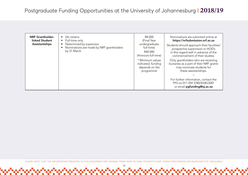| <b>NRF Grantholder-</b><br>linked Student<br>Assistantships | SA citizens<br>Full-time only<br>Determined by supervisor<br>Nominations are made by NRF grantholders<br>by 31 March | R8 000<br>(Final Year<br>undergraduate<br>full-time)<br>R40 000<br>(Honours full-time)<br>* Minimum values<br>indicated, funding | Nominations are submited online at<br>https://nrfsubmission.nrf.ac.za<br>Students should approach their faculties/<br>prospective supervisors or HOD's<br>in this regard well in advance of the<br>commencement of their studies.<br>Only grantholders who are receiving<br>bursaries as a part of their NRF grants |
|-------------------------------------------------------------|----------------------------------------------------------------------------------------------------------------------|----------------------------------------------------------------------------------------------------------------------------------|---------------------------------------------------------------------------------------------------------------------------------------------------------------------------------------------------------------------------------------------------------------------------------------------------------------------|
|                                                             |                                                                                                                      | depends on the<br>programme                                                                                                      | may nominate students for<br>these assistantships.<br>For further information, contact the<br>PFS on 011 559 3780/4530/3287<br>or email pgfunding@uj.ac.za                                                                                                                                                          |

PLEASE NOTE THAT THE INFORMATION PROVIDED IN THIS DOCUMENT MAY CHANGE FROM YEAR TO YEAR. STUDENTS MUST CHECK FOR UPDATES ON DEADLINES ETC. REGULARLY.

14

ana amin'ny fivondronan-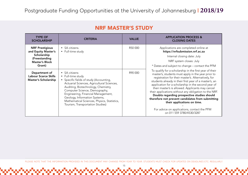| <b>TYPE OF</b><br><b>SCHOLARSHIP</b>                                        | <b>CRITERIA</b>                                                                                                                                                                                                                                                                                                                                               | <b>VALUE</b> | <b>APPLICATION PROCESS &amp;</b><br><b>CLOSING DATES</b>                                                                                                                                                                                                                                                                                                                                                                                                                                                                                                                                                         |
|-----------------------------------------------------------------------------|---------------------------------------------------------------------------------------------------------------------------------------------------------------------------------------------------------------------------------------------------------------------------------------------------------------------------------------------------------------|--------------|------------------------------------------------------------------------------------------------------------------------------------------------------------------------------------------------------------------------------------------------------------------------------------------------------------------------------------------------------------------------------------------------------------------------------------------------------------------------------------------------------------------------------------------------------------------------------------------------------------------|
| <b>NRF Prestigious</b><br>and Equity Master's                               | • SA citizens.<br>• Full-time study                                                                                                                                                                                                                                                                                                                           | R50 000      | Applications are completed online at<br>https://nrfsubmission.nrf.ac.za                                                                                                                                                                                                                                                                                                                                                                                                                                                                                                                                          |
| Scholarship<br>(Freestanding                                                |                                                                                                                                                                                                                                                                                                                                                               |              | Internal closing date: July                                                                                                                                                                                                                                                                                                                                                                                                                                                                                                                                                                                      |
| <b>Master's Block</b>                                                       |                                                                                                                                                                                                                                                                                                                                                               |              | NRF system closes: July                                                                                                                                                                                                                                                                                                                                                                                                                                                                                                                                                                                          |
| Grant)                                                                      |                                                                                                                                                                                                                                                                                                                                                               |              | * Dates and subject to change – contact the PFM                                                                                                                                                                                                                                                                                                                                                                                                                                                                                                                                                                  |
| Department of<br><b>Labour Scarce Skills</b><br><b>Master's Scholarship</b> | • SA citizens<br>• Full-time study<br>• Specific fields of study (Accounting,<br>Actuarial Sciences, Agricultural Sciences,<br>Auditing, Biotechnology, Chemistry,<br>Computer Science, Demography,<br>Engineering, Financial Management,<br>Geology, Information Systems,<br>Mathematical Sciences, Physics, Statistics,<br>Tourism, Transportation Studies) | R90 000      | To qualify for a scholarship in the first year of their<br>master's, students must apply in the year prior to<br>registration for their master's. Alternatively, for<br>students already in their first year of a master's, an<br>application for a scholarship in the second year of<br>their master's is allowed. Applicants may cancel<br>their applications without any obligation to the NRF.<br>Doubts regarding prospective studies should<br>therefore not prevent candidates from submitting<br>their applications on time.<br>For advice on applications, contact the PFM<br>on 011 559 3780/4530/3287 |

PLEASE NOTE THAT THE INFORMATION PROVIDED IN THIS DOCUMENT MAY CHANGE FROM YEAR TO YEAR. STUDENTS MUST CHECK FOR UPDATES ON DEADLINES ETC. REGULARLY.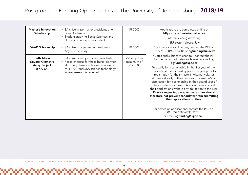| <b>Master's Innovation</b><br>Scholarship                                    | • SA citizens, permanent residents and<br>non-SA citizens<br>• Student studying Social Sciences and<br>Humanities are also supported                                                                | R90 000                                 | Applications are completed online at<br>https://nrfsubmission.nrf.ac.za<br>Internal closing date: July<br>NRF system closes: July                                                                                                                                                                                                                                                                                                                                                                                                                                                                                                                                                                                                                                         |
|------------------------------------------------------------------------------|-----------------------------------------------------------------------------------------------------------------------------------------------------------------------------------------------------|-----------------------------------------|---------------------------------------------------------------------------------------------------------------------------------------------------------------------------------------------------------------------------------------------------------------------------------------------------------------------------------------------------------------------------------------------------------------------------------------------------------------------------------------------------------------------------------------------------------------------------------------------------------------------------------------------------------------------------------------------------------------------------------------------------------------------------|
| <b>DAAD Scholarship</b>                                                      | • SA citizens or permanent residents<br>• Any field of study                                                                                                                                        | R80 000                                 | For advice on applications, contact the PFS on<br>011 559 3780/4530/3287 or pgfunding@uj.ac.za                                                                                                                                                                                                                                                                                                                                                                                                                                                                                                                                                                                                                                                                            |
| South African<br><b>Square Kilometre</b><br><b>Array Project</b><br>(SKA SA) | • SA citizens and permanent residents<br>• Research focus for these bursaries must<br>align very closely with specific areas of<br>MEERKAT and SKA science technology<br>where research is required | Value up to a<br>maximum of<br>R121 000 | *Dates and subject to change - contact the PFS<br>for the confirmed dates each year by emailing<br>pgfunding@uj.ac.za<br>To qualify for a scholarship in the first year of their<br>master's, students must apply in the year prior to<br>registration for their master's. Alternatively, for<br>students already in their first year of a master's, an<br>application for a scholarship in the second year of<br>their master's is allowed. Applicants may cancel<br>their applications without any obligation to the NRF.<br>Doubts regarding prospective studies should<br>therefore not prevent candidates from submitting<br>their applications on time.<br>For advice on applications, contact the PFS on<br>011 559 3780/4530/3287<br>or email pgfunding@uj.ac.za. |

PLEASE NOTE THAT THE INFORMATION PROVIDED IN THIS DOCUMENT MAY CHANGE FROM YEAR TO YEAR. STUDENTS MUST CHECK FOR UPDATES ON DEADLINES ETC. REGULARLY.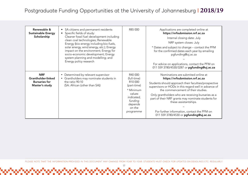| Renewable &<br><b>Sustainable Energy</b><br>Scholarship                    | SA citizens and permanent residents<br>Specific fields of study:<br>Cleaner fossil fuel development including<br>clean coal technologies; Renewable<br>Energy (bio-energy including bio-fuels,<br>solar energy, wind energy, etc.); Energy<br>impact on the environment; Energy for<br>socio-economic development; Energy<br>system planning and modelling; and<br>Energy policy research | R85000                                                                                                                                         | Applications are completed online at<br>https://nrfsubmission.nrf.ac.za<br>Internal closing date: July<br>NRF system closes: July<br>* Dates and subject to change - contact the PFM<br>for the confirmed dates each year by emailing<br>pgfunding@uj.ac.za<br>For advice on applications, contact the PFM on<br>011 559 3780/4530/3287 or pgfunding@uj.ac.za                                                                                                |
|----------------------------------------------------------------------------|-------------------------------------------------------------------------------------------------------------------------------------------------------------------------------------------------------------------------------------------------------------------------------------------------------------------------------------------------------------------------------------------|------------------------------------------------------------------------------------------------------------------------------------------------|--------------------------------------------------------------------------------------------------------------------------------------------------------------------------------------------------------------------------------------------------------------------------------------------------------------------------------------------------------------------------------------------------------------------------------------------------------------|
| <b>NRF</b><br>Grantholder-linked<br><b>Bursaries for</b><br>Master's study | • Determined by relevant supervisor<br>Grantholders may nominate students in<br>the ratio 90:10<br>(SA: African (other than SA))                                                                                                                                                                                                                                                          | R40 000<br>(full-time)<br>R <sub>10</sub> 000<br>(part-time)<br>* Minimum<br>values<br>indicated,<br>funding<br>depends<br>on the<br>programme | Nominations are submited online at<br>https://nrfsubmission.nrf.ac.za<br>Students should approach their faculties/prospective<br>supervisors or HODs in this regard well in advance of<br>the commencement of their studies.<br>Only grantholders who are receiving bursaries as a<br>part of their NRF grants may nominate students for<br>these assistantships.<br>For further information, contact the PFM on<br>011 559 3780/4530 or pgfunding@uj.ac.za. |

PLEASE NOTE THAT THE INFORMATION PROVIDED IN THIS DOCUMENT MAY CHANGE FROM YEAR TO YEAR. STUDENTS MUST CHECK FOR UPDATES ON DEADLINES ETC. REGULARLY.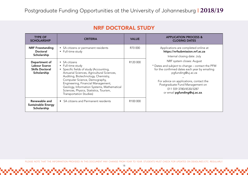|  | <b>NRF DOCTORAL STUDY</b> |  |
|--|---------------------------|--|
|--|---------------------------|--|

| <b>TYPE OF</b><br><b>SCHOLARSHIP</b>                                    | <b>CRITERIA</b>                                                                                                                                                                                                                                                                                                                                               | <b>VALUE</b>         | <b>APPLICATION PROCESS &amp;</b><br><b>CLOSING DATES</b>                                                                                                                                                                                                                                    |
|-------------------------------------------------------------------------|---------------------------------------------------------------------------------------------------------------------------------------------------------------------------------------------------------------------------------------------------------------------------------------------------------------------------------------------------------------|----------------------|---------------------------------------------------------------------------------------------------------------------------------------------------------------------------------------------------------------------------------------------------------------------------------------------|
| <b>NRF Freestanding</b><br>Doctoral<br>Scholarship                      | • SA citizens or permanent residents<br>• Full-time study                                                                                                                                                                                                                                                                                                     | R70 000              | Applications are completed online at<br>https://nrfsubmission.nrf.ac.za<br>Internal closing date: July                                                                                                                                                                                      |
| Department of<br>Labour Scarce<br><b>Skills Doctoral</b><br>Scholarship | • SA citizens<br>• Full-time study<br>• Specific fields of study (Accounting,<br>Actuarial Sciences, Agricultural Sciences,<br>Auditing, Biotechnology, Chemistry,<br>Computer Science, Demography,<br>Engineering, Financial Management,<br>Geology, Information Systems, Mathematical<br>Sciences, Physics, Statistics, Tourism,<br>Transportation Studies) | R <sub>120</sub> 000 | NRF system closes: August<br>* Dates and subject to change - contact the PFM<br>for the confirmed dates each year by emailing<br>pgfunding@uj.ac.za<br>For advice on applications, contact the<br>Postgraduate Fund Management on<br>011 559 3780/4530/3287<br>or email pgfunding@uj.ac.za. |
| Renewable and<br><b>Sustainable Energy</b><br>Scholarship               | • SA citizens and Permanent residents                                                                                                                                                                                                                                                                                                                         | R <sub>100</sub> 000 |                                                                                                                                                                                                                                                                                             |

PLEASE NOTE THAT THE INFORMATION PROVIDED IN THIS DOCUMENT MAY CHANGE FROM YEAR TO YEAR. STUDENTS MUST CHECK FOR UPDATES ON DEADLINES ETC. REGULARLY.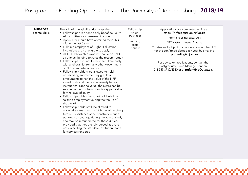| <b>NRF-PDRF</b><br><b>Scarce Skills</b> | The following eligibility criteria applies:<br>• Fellowships are open to only bonafide South<br>African citizens or permanent residents<br>• Applicants should have obtained their PhD<br>within the last 5 years.<br>• Full time employees of Higher Education<br>Institutions are not eligible to apply.<br>• All NRF scholarships awards should be held<br>as primary funding towards the research study.<br>• Fellowships must not be held simultaneously<br>with a fellowship from any other government<br>or NRF administered source.<br>• Fellowship-holders are allowed to hold<br>non-binding supplementary grants or<br>emoluments to half the value of the NRF<br>award or should the host university have an<br>institutional capped value, the award can be<br>supplemented to the university capped value<br>for the level of study.<br>• Fellowship-holders must not hold full-time<br>salaried employment during the tenure of<br>the award.<br>• Fellowship-holders will be allowed to<br>undertake a maximum of 12 hours of teaching,<br>tutorials, assistance or demonstration duties<br>per week on average during the year of study<br>and may be remunerated for these duties,<br>provided that they are reimbursed at a rate<br>not exceeding the standard institution's tariff<br>for services rendered. | Fellowship<br>value<br>R255 000<br>Running<br>costs<br>R50 000 | Applications are completed online at<br>https://nrfsubmission.nrf.ac.za<br>Internal closing date: July<br>NRF system closes: August<br>* Dates and subject to change - contact the PFM<br>for the confirmed dates each year by emailing<br>pgfunding@uj.ac.za<br>For advice on applications, contact the<br>Postgraduate Fund Management on<br>011 559 3780/4530 or at pgfunding@uj.ac.za. |
|-----------------------------------------|----------------------------------------------------------------------------------------------------------------------------------------------------------------------------------------------------------------------------------------------------------------------------------------------------------------------------------------------------------------------------------------------------------------------------------------------------------------------------------------------------------------------------------------------------------------------------------------------------------------------------------------------------------------------------------------------------------------------------------------------------------------------------------------------------------------------------------------------------------------------------------------------------------------------------------------------------------------------------------------------------------------------------------------------------------------------------------------------------------------------------------------------------------------------------------------------------------------------------------------------------------------------------------------------------------------------------------|----------------------------------------------------------------|--------------------------------------------------------------------------------------------------------------------------------------------------------------------------------------------------------------------------------------------------------------------------------------------------------------------------------------------------------------------------------------------|
|-----------------------------------------|----------------------------------------------------------------------------------------------------------------------------------------------------------------------------------------------------------------------------------------------------------------------------------------------------------------------------------------------------------------------------------------------------------------------------------------------------------------------------------------------------------------------------------------------------------------------------------------------------------------------------------------------------------------------------------------------------------------------------------------------------------------------------------------------------------------------------------------------------------------------------------------------------------------------------------------------------------------------------------------------------------------------------------------------------------------------------------------------------------------------------------------------------------------------------------------------------------------------------------------------------------------------------------------------------------------------------------|----------------------------------------------------------------|--------------------------------------------------------------------------------------------------------------------------------------------------------------------------------------------------------------------------------------------------------------------------------------------------------------------------------------------------------------------------------------------|

PLEASE NOTE THAT THE INFORMATION PROVIDED IN THIS DOCUMENT MAY CHANGE FROM YEAR TO YEAR. STUDENTS MUST CHECK FOR UPDATES ON DEADLINES ETC. REGULARLY.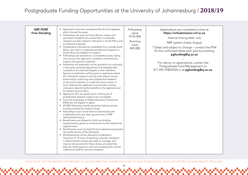| <b>NRF-PDRF</b><br><b>Free Standing</b> | • Applicants must have completed the doctoral degrees<br>within the last five years;<br>• Fellowships are open to South African citizens and<br>permanent residents who would like to undertake<br>research at public research nstitutions in South Africa and<br>at institutions abroad;                                                                                                                                                                                                                                                                                                                                                                                                                                                                                                                                                                                                                                                                                                                                                                                                                                                                                                                                                                                                                                                                                                                                                                                                                                                                                                                                                                                                                                                                                                                                                                                                                     | Fellowship<br>value<br>R155 000<br>Running<br>costs | Applications are completed online at<br>https://nrfsubmission.nrf.ac.za<br>Internal closing date: July<br>NRF system closes: August                                                                                                                 |
|-----------------------------------------|---------------------------------------------------------------------------------------------------------------------------------------------------------------------------------------------------------------------------------------------------------------------------------------------------------------------------------------------------------------------------------------------------------------------------------------------------------------------------------------------------------------------------------------------------------------------------------------------------------------------------------------------------------------------------------------------------------------------------------------------------------------------------------------------------------------------------------------------------------------------------------------------------------------------------------------------------------------------------------------------------------------------------------------------------------------------------------------------------------------------------------------------------------------------------------------------------------------------------------------------------------------------------------------------------------------------------------------------------------------------------------------------------------------------------------------------------------------------------------------------------------------------------------------------------------------------------------------------------------------------------------------------------------------------------------------------------------------------------------------------------------------------------------------------------------------------------------------------------------------------------------------------------------------|-----------------------------------------------------|-----------------------------------------------------------------------------------------------------------------------------------------------------------------------------------------------------------------------------------------------------|
|                                         | Outstanding international candidates from outside South<br>$\bullet$<br>Africa, who wish to undertake postdoctoral research in<br>South Africa are eligible for support;<br>Fellowships are awarded on a competitive basis, taking<br>into account the applicants' academic achievements,<br>outputs and research potential.<br>Fellowship will preferably not be granted to an individual<br>in the same university department immediately after<br>completion of a doctoral degree at that institution.<br>Special consideration will be given to applicants where<br>the individual's research training and outputs may be<br>enhanced by continuing with postdoctoral research<br>at the same institution or under the same mentor. In<br>such instances the applicant must provide a strong<br>motivation describing the benefits to the applicant and<br>for advancing innovation.<br>Applicants who are applying for a third cycle of<br>$\bullet$<br>postdoctoral research support are not eligible.<br>• Full-time employees of Higher Education Institutions<br>(HEIs) are not eligible to apply.<br>• All NRF fellowship awards should be held as primary<br>funding towards the research study.<br>Fellowships must not be held simultaneously with<br>a fellowship from any other government or NRF<br>administered source.<br>Beneficiaries are allowed to hold non-binding<br>supplementary grants or emoluments to the institutional<br>capped value.<br>Beneficiaries must not hold full-time salaried employment<br>during the tenure of the fellowship.<br>• All beneficiaries will be allowed to undertake a<br>maximum of 12 hours of teaching, tutorials, assistance<br>or demonstration duties per week on average, and<br>may be remunerated for these duties, provided that<br>they are reimbursed at a rate not exceeding the normal<br>institutional tariff for services rendered. | R45 000                                             | * Dates and subject to change – contact the PFM<br>for the confirmed dates each year by emailing<br>pgfunding@uj.ac.za<br>For advice on applications, contact the<br>Postgraduate Fund Management on<br>011 559 3780/4530 or at pgfunding@uj.ac.za. |

PLEASE NOTE THAT THE INFORMATION PROVIDED IN THIS DOCUMENT MAY CHANGE FROM YEAR TO YEAR. STUDENTS MUST CHECK FOR UPDATES ON DEADLINES ETC. REGULARLY.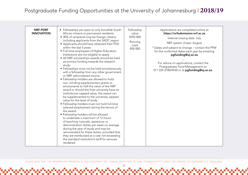| remunerated for these duties, provided that<br>they are reimbursed at a rate not exceeding<br>the standard institution's tariff for services<br>rendered. |
|-----------------------------------------------------------------------------------------------------------------------------------------------------------|
|-----------------------------------------------------------------------------------------------------------------------------------------------------------|

PLEASE NOTE THAT THE INFORMATION PROVIDED IN THIS DOCUMENT MAY CHANGE FROM YEAR TO YEAR. STUDENTS MUST CHECK FOR UPDATES ON DEADLINES ETC. REGULARLY.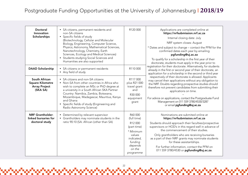| <b>Doctoral</b><br>Innovation<br>Scholarships                                | • SA citizens, permanent residents and<br>non-SA citizens<br>• Specific fields of study<br>(Biotechnology, Cellular and Molecular<br>Biology, Engineering, Computer Science,<br>Physics; Astronomy, Mathematical Sciences,<br>Nanotechnology, Chemistry, Earth<br>Sciences, Ecology and Medical Sciences)<br>Students studying Social Sciences and<br>$\bullet$<br>Humanities are also supported | R120 000                                                                                                                         | Applications are completed online at<br>https://nrfsubmission.nrf.ac.za<br>Internal closing date: July<br>NRF system closes: August<br>* Dates and subject to change - contact the PFM for the<br>confirmed dates each year by emailing<br>pgfunding@uj.ac.za<br>To qualify for a scholarship in the first year of their<br>doctorate, students must apply in the year prior to                                                                               |
|------------------------------------------------------------------------------|--------------------------------------------------------------------------------------------------------------------------------------------------------------------------------------------------------------------------------------------------------------------------------------------------------------------------------------------------------------------------------------------------|----------------------------------------------------------------------------------------------------------------------------------|---------------------------------------------------------------------------------------------------------------------------------------------------------------------------------------------------------------------------------------------------------------------------------------------------------------------------------------------------------------------------------------------------------------------------------------------------------------|
| <b>DAAD Scholarship</b>                                                      | SA citizens or permanent residents<br>$\bullet$<br>• Any field of study                                                                                                                                                                                                                                                                                                                          | R110 000                                                                                                                         | registration for their doctorate. Alternatively, for students<br>already in the first or second year of their doctorate, an<br>application for a scholarship in the second or third year                                                                                                                                                                                                                                                                      |
| South African<br><b>Square Kilometre</b><br><b>Array Project</b><br>(SKA SA) | • SA citizens and non-SA citizens<br>• Non-SA from other countries in Africa who<br>wish to complete an MSc or PhD degree at<br>a university in a South African SKA Partner<br>Country: Namibia, Zambia, Botswana,<br>Mozambique, Madagascar, Mauritius, Kenya<br>and Ghana<br>Specific fields of study (Engineering and<br>$\bullet$<br>Radio Astronomy Science)                                | R117 000<br>plus R21 000<br>travel grant<br>and<br>R30 000<br>equipment<br>grant                                                 | respectively of their doctorate is allowed. Applicants<br>may cancel their applications without any obligation to<br>the NRF. Doubts regarding prospective studies should<br>therefore not prevent candidates from submitting their<br>applications on time.<br>For advice on applications, contact the Postgraduate Fund<br>Management on 011 559 3780/4530/3287<br>or email pgfunding@uj.ac.za.                                                             |
| <b>NRF Grantholder-</b><br>linked bursaries for<br>doctoral study            | • Determined by relevant supervisor<br>• Grantholders may nominate students in the<br>ratio 90:10 (SA: African (other than SA)                                                                                                                                                                                                                                                                   | R60000<br>(full time)<br>R12000<br>(part time)<br>* Minimum<br>values<br>indicated,<br>funding<br>depends<br>on the<br>programme | Nominations are submited online at<br>https://nrfsubmission.nrf.ac.za<br>Students should approach their faculties/prospective<br>supervisors or HOD's in this regard well in advance of<br>the commencement of their studies.<br>Only grantholders who are receiving bursaries<br>as a part of their NRF grants may nominate students<br>for these assistantships.<br>For further information, contact the PFM on<br>011 559 3780/4530 or pgfunding@uj.ac.za. |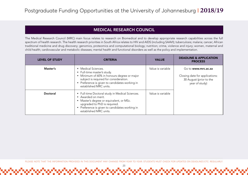## MEDICAL RESEARCH COUNCIL

The Medical Research Council (MRC) main focus relates to research on Biomedical and to develop appropriate research capabilities across the full spectrum of health research. The health research priorities in South Africa relates to HIV and AIDS (including SAAVI); tuberculosis; malaria; cancer; African traditional medicine and drug discovery; genomics, proteomics and computational biology; nutrition; crime, violence and injury; women, maternal and child health; cardiovascular and metabolic diseases; mental health and functional disorders as well as the policy and implementation.

| <b>LEVEL OF STUDY</b> | <b>CRITERIA</b>                                                                                                                                                                                                                | <b>VALUE</b>      | <b>DEADLINE &amp; APPLICATION</b><br><b>PROCESS</b>                                                |
|-----------------------|--------------------------------------------------------------------------------------------------------------------------------------------------------------------------------------------------------------------------------|-------------------|----------------------------------------------------------------------------------------------------|
| Master's              | • Medical Sciences.<br>• Full-time master's study.<br>• Minimum of 60% in honours degree or major<br>subject is required for consideration.<br>• Preference is given to candidates working in<br>established MRC units.        | Value is variable | Go to www.mrc.ac.za<br>Closing date for applications:<br>30 August (prior to the<br>year of study) |
| Doctoral              | • Full-time Doctoral study in Medical Sciences.<br>• Awarded on merit.<br>• Master's degree or equivalent, or MSc.<br>upgraded to PhD is required.<br>• Preference is given to candidates working in<br>established MRC units. | Value is variable |                                                                                                    |

PLEASE NOTE THAT THE INFORMATION PROVIDED IN THIS DOCUMENT MAY CHANGE FROM YEAR TO YEAR. STUDENTS MUST CHECK FOR UPDATES ON DEADLINES ETC. REGULARLY.

23

<u>ით ის და და და და და და და და და და დ</u>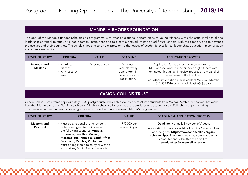#### MANDELA-RHODES FOUNDATION

The goal of the Mandela Rhodes Scholarships programme is to offer educational opportunities to young Africans with scholastic, intellectual and leadership potential to study at suitable tertiary institutions and to create a network of principled future leaders, with the capacity and to advance themselves and their countries. The scholarships aim to give expression to the legacy of academic excellence, leadership, education, reconciliation and entrepreneurship.

| <b>LEVEL OF STUDY</b>   | <b>CRITERIA</b>                                 | <b>VALUE</b>     | <b>DEADLINE</b>                                                                        | <b>APPLICATION PROCESS</b>                                                                                                                                                                                                                                                                          |
|-------------------------|-------------------------------------------------|------------------|----------------------------------------------------------------------------------------|-----------------------------------------------------------------------------------------------------------------------------------------------------------------------------------------------------------------------------------------------------------------------------------------------------|
| Honours and<br>Master's | All African<br>citizens<br>Any research<br>area | Varies each year | Varies each<br>year. Normally<br>before April in<br>the year prior to<br>registration. | Application forms are available online from the<br>MRF website (www.mandelarhodes.org). Students are<br>nominated through an interview process by the panel of<br>Vice-Deans of the Faculties.<br>For further information please contact Ms Dudu Mbatha,<br>011 559 4016 or email rdmbatha@uj.ac.za |

#### CANON COLLINS TRUST

Canon Collins Trust awards approximately 20-30 postgraduate scholarships for southern African students from Malawi, Zambia, Zimbabwe, Botswana, Lesotho, Mozambique and Namibia each year. All scholarships are for postgraduate study for one academic year. Full scholarships, including maintenance and tuition fees, or partial grants are provided for taught/research Master's programmes.

| <b>LEVEL OF STUDY</b>    | CRITERIA                                                                                                                                                                                                                                                                                                | <b>VALUE</b>                 | <b>DEADLINE &amp; APPLICATION PROCESS</b>                                                                                                                                                                                                                                                  |
|--------------------------|---------------------------------------------------------------------------------------------------------------------------------------------------------------------------------------------------------------------------------------------------------------------------------------------------------|------------------------------|--------------------------------------------------------------------------------------------------------------------------------------------------------------------------------------------------------------------------------------------------------------------------------------------|
| Master's and<br>Doctoral | • Must be a national of and resident,<br>or have refugee status, in one of<br>the following countries: Angola,<br>Botswana, Lesotho, Malawi,<br>Mozambique, Namibia, South Africa,<br>Swaziland, Zambia, Zimbabwe<br>• Must be registered to study or wish to<br>study at any South African university. | R50 000 per<br>academic year | <b>Deadline: Normally first week of August</b><br>Application forms are available from the Canon Collins<br>website go to: http://www.canoncollins.org.uk/<br>scholarships/. The form should be completed on a<br>computer and submitted via email to:<br>scholarships@canoncollins.org.uk |

PLEASE NOTE THAT THE INFORMATION PROVIDED IN THIS DOCUMENT MAY CHANGE FROM YEAR TO YEAR. STUDENTS MUST CHECK FOR UPDATES ON DEADLINES ETC. REGULARLY.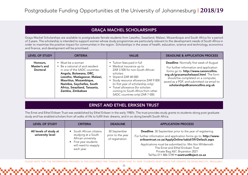## GRAÇA MACHEL SCHOLARSHIPS

Graça Machel Scholarships are available to postgraduate female students from Lesotho, Swaziland, Malawi, Mozambique and South Africa for a period of 3 years. The scholarship is intended to support women whose study programmes are particularly relevant to the development needs of South Africa in order to maximise the positive impact for communities in the region. Scholarships in the areas of health, education, science and technology, economics and finance, and development will be prioritised.

| <b>LEVEL OF STUDY</b>                | <b>CRITERIA</b>                                                                                                                                                                                                                                           | <b>VALUE</b>                                                                                                                                                                                                                                                                                                               | <b>DEADLINE &amp; APPLICATION PROCESS</b>                                                                                                                                                                                                                                                             |
|--------------------------------------|-----------------------------------------------------------------------------------------------------------------------------------------------------------------------------------------------------------------------------------------------------------|----------------------------------------------------------------------------------------------------------------------------------------------------------------------------------------------------------------------------------------------------------------------------------------------------------------------------|-------------------------------------------------------------------------------------------------------------------------------------------------------------------------------------------------------------------------------------------------------------------------------------------------------|
| Honours,<br>Master's and<br>Doctoral | • Must be a woman<br>Be a national of and resident<br>in one of the SADC countries:<br>Angola, Botswana, DRC,<br>Lesotho, Madagascar, Malawi,<br>Mauritius, Mozambique,<br>Namibia, Seychelles, South<br>Africa, Swaziland, Tanzania,<br>Zambia, Zimbabwe | • Tuition fees paid in full<br>• Medical insurance up to<br>ZAR 3 500 for non-South African<br>scholars<br>• Stipend ZAR 48 000<br>• Study resource allowance ZAR 9 000<br>(in first year of scholarship only)<br>• Travel allowance (for scholars<br>coming to South Africa from other<br>SADC countries only) ZAR 7 000. | <b>Deadline: Normally first week of August</b><br>For further information and application<br>forms go to. http://www.canoncollins.<br>org.uk/gracamachelsasol.html. The form<br>should be completed on a computer,<br>saved as a PDF, and submitted via email to:<br>scholarships@canoncollins.org.uk |

## ERNST AND ETHEL ERIKSEN TRUST

The Ernst and Ethel Eriksen Trust was established by Ethel Eriksen in the early 1980's. The trust provides study grants to students doing post graduate study and has enabled scholars from all walks of life to fulfill their dreams, and in so doing benefit South Africa.

| <b>LEVEL OF STUDY</b>                      | <b>CRITERIA</b>                                                                                                                     | <b>DEADLINE</b>                                       | <b>APPLICATION PROCESS</b>                                                                                                                                                                                                                                                                                                                                                  |
|--------------------------------------------|-------------------------------------------------------------------------------------------------------------------------------------|-------------------------------------------------------|-----------------------------------------------------------------------------------------------------------------------------------------------------------------------------------------------------------------------------------------------------------------------------------------------------------------------------------------------------------------------------|
| All levels of study at<br>university level | • South African citizens<br>studying at a South<br>African university.<br>First year students<br>will need to reapply<br>each year. | 30 September<br>prior to the year<br>of registration. | <b>Deadline:</b> 30 September prior to the year of registering<br>For further information and application forms go to: http://www.<br>eriksentrust.co.za/ApplyOnline/tabid/59/Default.aspx<br>Applications must be submitted to: Mrs Von Wildenrath<br>The Ernst and Ethel Ericksen Trust<br>Private Bag X67, Bryanston 2021<br>Tel/fax 011 886 5789 · eeetrust@eject.co.za |

PLEASE NOTE THAT THE INFORMATION PROVIDED IN THIS DOCUMENT MAY CHANGE FROM YEAR TO YEAR. STUDENTS MUST CHECK FOR UPDATES ON DEADLINES ETC. REGULARLY.

<u>സസ്ധാന സാധാന</u>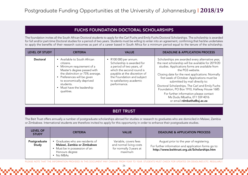## FUCHS FOUNDATION DOCTORAL SCHOLARSHIPS

The foundation invites all the South African Doctoral students to apply for the Carl Fuchs and Emily Fuchs Doctoral Scholarships. The scholarship is awarded for full and/or part-time Doctoral studies for a period of two years. Students must be willing to enter into an agreement, confirming that he/she undertakes to apply the benefits of their research outcomes as part of a career based in South Africa for a minimum period equal to the tenure of the scholarship.

| <b>LEVEL OF STUDY</b> | <b>CRITERIA</b>                                                                                                                                                                                                                                           | <b>VALUE</b>                                                                                                                                                                                                                    | <b>DEADLINE &amp; APPLICATION PROCESS</b>                                                                                                                                                                                                                                                                                                                                                                                                                                                                                   |
|-----------------------|-----------------------------------------------------------------------------------------------------------------------------------------------------------------------------------------------------------------------------------------------------------|---------------------------------------------------------------------------------------------------------------------------------------------------------------------------------------------------------------------------------|-----------------------------------------------------------------------------------------------------------------------------------------------------------------------------------------------------------------------------------------------------------------------------------------------------------------------------------------------------------------------------------------------------------------------------------------------------------------------------------------------------------------------------|
| Doctoral              | • Available to South African<br>citizens.<br>Minimum requirement of a<br>Master's degree passed with<br>the distinction or 75% average.<br>Preferences will be given<br>to economically deprived<br>students.<br>• Must have the leadership<br>qualities. | $\bullet$ R100 000 per annum.<br>Scholarship is awarded for<br>a period of two years, of<br>which the second round is<br>payable at the discretion of<br>the Foundation and subject<br>to satisfactory academic<br>performance. | Scholarships are awarded every alternative year,<br>the next scholarship will be available for 2019/20<br>studies. Applications forms are available from<br>the PGS website.<br>Closing date for the next applications: Normally<br>first week of October. Applications must be<br>submitted by mail directly to:<br>Doctoral Scholarships, The Carl and Emily Fuchs<br>Foundation, PO Box 1910, Halfway House 1685<br>For further information please contact<br>Ms Dudu Mbatha, 011 559 4016<br>or email rdmbatha@uj.ac.za |

## BEIT TRUST

The Beit Trust offers annually a number of postgraduate scholarships abroad for studies or research to graduates who are domiciled in Malawi, Zambia or Zimbabwe. International students are therefore invited to apply for this opportunity in order to enhance their postgraduate studies.

| <b>LEVEL OF</b><br><b>STUDY</b> | <b>CRITERIA</b>                                                                                                          | <b>VALUE</b>                                                                           | <b>DEADLINE &amp; APPLICATION PROCESS</b>                                                                                                        |
|---------------------------------|--------------------------------------------------------------------------------------------------------------------------|----------------------------------------------------------------------------------------|--------------------------------------------------------------------------------------------------------------------------------------------------|
| Postgraduate<br>Study           | Graduates who are residents of<br>Malawi, Zambia or Zimbabwe<br>Must be in possession of an<br>Honours degree<br>No MBAs | Variable, covers fees<br>and normal living costs<br>for normally 3 years at<br>maximum | August prior to the year of registering.<br>For further information and application forms go to:<br>http://www.beittrust.org.uk/Scholarships.htm |

PLEASE NOTE THAT THE INFORMATION PROVIDED IN THIS DOCUMENT MAY CHANGE FROM YEAR TO YEAR. STUDENTS MUST CHECK FOR UPDATES ON DEADLINES ETC. REGULARLY.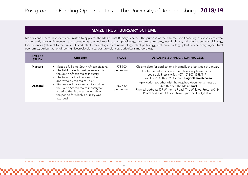## MAIZE TRUST BURSARY SCHEME

Master's and Doctoral students are invited to apply for the Maize Trust Bursary Scheme. The purpose of the scheme is to financially assist students who are currently enrolled in research areas pertaining to plant breeding; plant physiology; biometry; agronomy; weed science; soil science; soil microbiology; food sciences (relevant to the crop industry); plant entomology; plant nematology; plant pathology; molecular biology; plant biochemistry; agricultural economics; agricultural engineering; livestock sciences; pasture sciences; agricultural meteorology.

| <b>LEVEL OF</b><br><b>STUDY</b> | <b>CRITERIA</b>                                                                                                                                                                                                                                                                                                                                                             | <b>VALUE</b>                                 | <b>DEADLINE &amp; APPLICATION PROCESS</b>                                                                                                                                                                                                                                                                                                                                                                                                                   |
|---------------------------------|-----------------------------------------------------------------------------------------------------------------------------------------------------------------------------------------------------------------------------------------------------------------------------------------------------------------------------------------------------------------------------|----------------------------------------------|-------------------------------------------------------------------------------------------------------------------------------------------------------------------------------------------------------------------------------------------------------------------------------------------------------------------------------------------------------------------------------------------------------------------------------------------------------------|
| Master's<br>Doctoral            | • Must be full-time South African citizens.<br>• The field of study must be relevant to<br>the South African maize industry.<br>• The topic for the thesis must be<br>approved by the Maize Trust.<br>Students will be expected to work in<br>the South African maize industry for<br>a period that is the same length as<br>the period for which a bursary was<br>awarded. | R73 900<br>per annum<br>R89 450<br>per annum | Closing date for applications: Normally the last week of January<br>For further information and application, please contact<br>Louise du Plessis • Tel: +27 (12) 807 3958/4191<br>Fax: +27 (12) 807 7090 · email: I-lagric@mweb.co.za<br>Application together with the required documents must be<br>submitted to: The Maize Trust<br>Physical address: 477 Witherite Road, The Willows, Pretoria 0184<br>Postal address: PO Box 74626, Lynnwood Ridge 0040 |

PLEASE NOTE THAT THE INFORMATION PROVIDED IN THIS DOCUMENT MAY CHANGE FROM YEAR TO YEAR. STUDENTS MUST CHECK FOR UPDATES ON DEADLINES ETC. REGULARLY.

27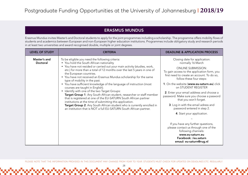## ERASMUS MUNDUS

Erasmus Mundus invites Master's and Doctoral students to apply for the joint programmes including a scholarship. The programme offers mobility flows of students and academics between European and non-European higher education institutions. Programmes include obligatory study and research periods in at least two universities and award recognised double, multiple or joint degrees.

| <b>LEVEL OF STUDY</b>    | <b>CRITERIA</b>                                                                                                                                                                                                                                                                                                                                                                                                                                                                                                                                                                                                                                                                                                                                                                                                                                                                                            | <b>DEADLINE &amp; APPLICATION PROCESS</b>                                                                                                                                                                                                                                                                                                                                                                                                                                                                                                                                                                                                                                       |
|--------------------------|------------------------------------------------------------------------------------------------------------------------------------------------------------------------------------------------------------------------------------------------------------------------------------------------------------------------------------------------------------------------------------------------------------------------------------------------------------------------------------------------------------------------------------------------------------------------------------------------------------------------------------------------------------------------------------------------------------------------------------------------------------------------------------------------------------------------------------------------------------------------------------------------------------|---------------------------------------------------------------------------------------------------------------------------------------------------------------------------------------------------------------------------------------------------------------------------------------------------------------------------------------------------------------------------------------------------------------------------------------------------------------------------------------------------------------------------------------------------------------------------------------------------------------------------------------------------------------------------------|
| Master's and<br>Doctoral | To be eligible you need the following criteria:<br>• You hold the South African nationality<br>• You have not resided or carried out your main activity (studies, work,<br>etc.) for more than a total of 12 months over the last 5 years in one of<br>the European countries.<br>• You have not received an Erasmus Mundus scholarship for the same<br>type of mobility in the past.<br>• You have sufficient knowledge of the language of instruction (most<br>courses are taught in English).<br>• Identify with one of the two Target Groups:<br>Target Group 1: Any South African student, researcher or staff member<br>that is registered at one of the EU-SATURN South African partner<br>institutions at the time of submitting this application.<br>Target Group 2: Any South African student who is currently enrolled in<br>an institution that is NOT a full EU-SATURN South African partner. | Closing date for application:<br>normally 16 March<br><b>ONLINE SUBMISSION:</b><br>To gain access to the application form, you<br>first need to create an account. To do so,<br>follow these four steps:<br>1. On the website (www.eu-saturn.eu) click<br>on STUDENT REGISTER<br>2. Enter your email address and choose a<br>password. Make sure you choose a pasword<br>that you won't forget.<br>3. Log in with the email adress and<br>password entered in step 2.<br>4. Start your application.<br>If you have any further questions,<br>please contact us through one of the<br>following channels:<br>www.eu-saturn.eu<br>Facebook: /eu.saturn<br>emaul: eu-saturn@rug.nl |

PLEASE NOTE THAT THE INFORMATION PROVIDED IN THIS DOCUMENT MAY CHANGE FROM YEAR TO YEAR. STUDENTS MUST CHECK FOR UPDATES ON DEADLINES ETC. REGULARLY.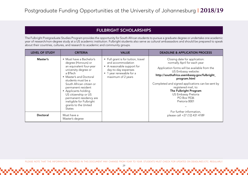## FULBRIGHT SCHOLARSHIPS

The Fulbright Postgraduate Studies Program provides the opportunity for South African students to pursue a graduate degree or undertake one academic year of research/non-degree study at a US academic institution. Fulbright students also serve as cultural ambassadors and should be prepared to speak about their countries, cultures, and research to academic and community groups.

| <b>LEVEL OF STUDY</b> | <b>CRITERIA</b>                                                                                                                                                                                                                                                                                                                                                  | <b>VALUE</b>                                                                                                                                                    | <b>DEADLINE &amp; APPLICATION PROCESS</b>                                                                                                                                                                                                                                                                                                                              |
|-----------------------|------------------------------------------------------------------------------------------------------------------------------------------------------------------------------------------------------------------------------------------------------------------------------------------------------------------------------------------------------------------|-----------------------------------------------------------------------------------------------------------------------------------------------------------------|------------------------------------------------------------------------------------------------------------------------------------------------------------------------------------------------------------------------------------------------------------------------------------------------------------------------------------------------------------------------|
| Master's              | • Must have a Bachelor's<br>degree (Honours) or<br>an equivalent four-year<br>university degree or<br>a BTech<br>• Master's and Doctoral<br>students must be a<br>South African citizen or<br>permanent resident<br>• Applicants holding<br>US citizenship or US<br>permanent residency are<br>ineligible for Fulbright<br>grants to the United<br><b>States</b> | • Full grant is for tuition, travel<br>and accommodation<br>• A reasonable support for<br>day-to-day expenses<br>• 1 year renewable for a<br>maximum of 2 years | Closing date for application:<br>normally April for each year<br>Application forms will be available from the<br>US Embassy website:<br>http://southafrica.usembassy.gov/fulbright_<br>program.html<br>Completed and signed applications can be sent by<br>registered mail, to:<br>The Fulbright Program<br><b>US Embassy Pretoria</b><br>PO Box 9536<br>Pretoria 0001 |
| Doctoral              | Must have a<br>Master's degree                                                                                                                                                                                                                                                                                                                                   |                                                                                                                                                                 | For further information,<br>please call +27 (12) 431 4189                                                                                                                                                                                                                                                                                                              |

PLEASE NOTE THAT THE INFORMATION PROVIDED IN THIS DOCUMENT MAY CHANGE FROM YEAR TO YEAR. STUDENTS MUST CHECK FOR UPDATES ON DEADLINES ETC. REGULARLY.

29

<u>ഡിഡിഡിഡിഡിഡിഡിഡിഡിഡിഡ</u>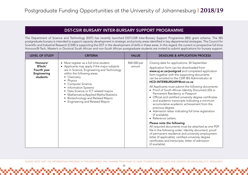#### DST-CSIR BURSARY INTER-BURSARY SUPPORT PROGRAMME

The Department of Science and Technology (DST) has recently launched DST-CSIR Inter-Bursary Support Programme (IBS) grant scheme. The IBS postgraduate bursary is intended to support capacity development in strategic and priority areas identified in key departmental strategies. The Council for Scientific and Industrial Research (CSIR) is supporting the DST in the development of skills in these areas. In this regard, the current or prospective full-time Honours/B-Tech, Master's or Doctoral South African and non-South African postgraduate students are invited to submit applications for bursary support.

| <b>LEVEL OF STUDY</b>                                        | <b>CRITERIA</b>                                                                                                                                                                                                                                                                                                                                                                                                      | <b>VALUE</b>         | <b>DEADLINE &amp; APPLICATION PROCESS</b>                                                                                                                                                                                                                                                                                                                                                                                                                                                                                                                                                                                                                                                                                                                                                                                                                                                                                                                                                                                           |
|--------------------------------------------------------------|----------------------------------------------------------------------------------------------------------------------------------------------------------------------------------------------------------------------------------------------------------------------------------------------------------------------------------------------------------------------------------------------------------------------|----------------------|-------------------------------------------------------------------------------------------------------------------------------------------------------------------------------------------------------------------------------------------------------------------------------------------------------------------------------------------------------------------------------------------------------------------------------------------------------------------------------------------------------------------------------------------------------------------------------------------------------------------------------------------------------------------------------------------------------------------------------------------------------------------------------------------------------------------------------------------------------------------------------------------------------------------------------------------------------------------------------------------------------------------------------------|
| Honours/<br>BTech/<br>Fourth year<br>Engineering<br>students | • Must register as a full-time student<br>• Applicants may apply if the major subjects<br>are in Science, Engineering and Technology<br>within the following areas:<br>• Chemistry<br>• Physics<br>• Computer Science<br>• Information Systems<br>• Data Science or ICT related majors<br>• Mathematics/Applied Maths/Statistics<br><b>Biotechnology and Related Majors</b><br><b>Engineering and Related Majors</b> | R60 000 per<br>annum | Closing date for applications: 30 September<br>Application form can be downloaded from<br>www.uj.ac.za/postgrad and completed application<br>form together with the supporting documents<br>can be emailed to the CSIR IBS Administrator at<br>HCD-INTERBURSARY@csir.co.za<br>All Applicants must submit the following documents:<br>• Proof of South African Identity Document (ID) or<br>Permanent Residency or Passport<br>Official and certified university degree certificates<br>$\bullet$<br>and academic transcripts indicating a minimum<br>accumulative academic achievement from the<br>previous degree.<br>• Admission letter indicating full time registration<br>(if available).<br>• Reference Letters.<br>Please note the following:<br>All required documents must be attached as one PDF<br>file in the following order: Identity document, proof<br>of permanent residence and university employment<br>letter (if applicable), certified university degree<br>certificates and transcripts, letter of admission |
|                                                              |                                                                                                                                                                                                                                                                                                                                                                                                                      |                      | (if available).                                                                                                                                                                                                                                                                                                                                                                                                                                                                                                                                                                                                                                                                                                                                                                                                                                                                                                                                                                                                                     |

PLEASE NOTE THAT THE INFORMATION PROVIDED IN THIS DOCUMENT MAY CHANGE FROM YEAR TO YEAR. STUDENTS MUST CHECK FOR UPDATES ON DEADLINES ETC. REGULARLY.

<u>ით ის რაის და სართა და და და და და და და დ</u>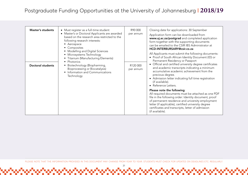| <b>Master's students</b><br>Doctoral students | • Must register as a full-time student<br>• Master's or Doctoral Applicants are awarded<br>based on the research area restricted to the<br>following research interests:<br>• Aerospace<br>• Composites<br>• Modelling and Digital Sciences<br>• Microsystems Technology<br>• Titanium (Manufacturing Elements)<br>• Photonics<br>Biotechnology (Biopharming,<br>Bioprocessing or Biocatalysis)<br>Information and Communications<br>Technology | R90 000<br>per annum<br>R120 000<br>per annum | Closing date for applications: 30 September<br>Application form can be downloaded from<br>www.uj.ac.za/postgrad and completed application<br>form together with the supporting documents<br>can be emailed to the CSIR IBS Administrator at<br>HCD-INTERBURSARY@csir.co.za<br>All Applicants must submit the following documents:<br>• Proof of South African Identity Document (ID) or<br>Permanent Residency or Passport<br>• Official and certified university degree certificates<br>and academic transcripts indicating a minimum<br>accumulative academic achievement from the<br>previous degree.<br>• Admission letter indicating full time registration<br>(if available).<br>• Reference Letters. |
|-----------------------------------------------|-------------------------------------------------------------------------------------------------------------------------------------------------------------------------------------------------------------------------------------------------------------------------------------------------------------------------------------------------------------------------------------------------------------------------------------------------|-----------------------------------------------|-------------------------------------------------------------------------------------------------------------------------------------------------------------------------------------------------------------------------------------------------------------------------------------------------------------------------------------------------------------------------------------------------------------------------------------------------------------------------------------------------------------------------------------------------------------------------------------------------------------------------------------------------------------------------------------------------------------|
|                                               |                                                                                                                                                                                                                                                                                                                                                                                                                                                 |                                               | Please note the following:<br>All required documents must be attached as one PDF<br>file in the following order: Identity document, proof<br>of permanent residence and university employment<br>letter (if applicable), certified university degree<br>certificates and transcripts, letter of admission<br>(if available).                                                                                                                                                                                                                                                                                                                                                                                |

PLEASE NOTE THAT THE INFORMATION PROVIDED IN THIS DOCUMENT MAY CHANGE FROM YEAR TO YEAR. STUDENTS MUST CHECK FOR UPDATES ON DEADLINES ETC. REGULARLY.

31

maan ah ay maan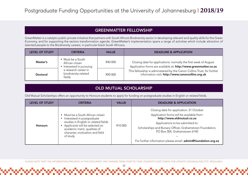## GREENMATTER FELLOWSHIP

GreenMatter is a catalytic public-private initiative that partners with South Africa's Biodiversity sector in developing relevant and quality skills for the Green Economy, and for supporting the sectors transformation agenda. GreenMatter's implementation spans a range of activities which include attraction of talented people to the Biodiversity careers, in particular black South Africans.

| <b>LEVEL OF STUDY</b> | <b>CRITERIA</b>                                                         | <b>VALUE</b>                                                                                                                          | <b>DEADLINE &amp; APPLICATION</b>                                                                                            |
|-----------------------|-------------------------------------------------------------------------|---------------------------------------------------------------------------------------------------------------------------------------|------------------------------------------------------------------------------------------------------------------------------|
| Master's              | Must be a South<br>R40 000<br>African citizen<br>Interested in pursuing | Closing date for applications: normally the first week of August.<br>Application forms are available at: http://www.greenmatter.co.za |                                                                                                                              |
| <b>Doctoral</b>       | a research career in<br>biodiversity-related<br>fields                  | R90 000                                                                                                                               | This fellowship is administered by the Canon Collins Trust, for further<br>information visit: http://www.canoncollins.org.uk |

## OLD MUTUAL SCHOLARSHIP

Old Mutual Scholarships offers an opportunity to Honours students to apply for funding on postgraduate studies in English or related fields.

| <b>LEVEL OF STUDY</b> | <b>CRITERIA</b>                                                                                                                                                                                                          | <b>VALUE</b>        | <b>DEADLINE &amp; APPLICATION</b>                                                                                                                                                                                                                                                                                     |
|-----------------------|--------------------------------------------------------------------------------------------------------------------------------------------------------------------------------------------------------------------------|---------------------|-----------------------------------------------------------------------------------------------------------------------------------------------------------------------------------------------------------------------------------------------------------------------------------------------------------------------|
| <b>Honours</b>        | • Must be a South African citizen<br>Interested in postgraduate<br>studies in English or related fields<br>Applicants will be selected on<br>academic merit, qualities of<br>character, motivation and field<br>of study | R <sub>10</sub> 000 | Closing date for application: 31 October<br>Application forms will be available from:<br>http://www.oldmutual.co.za<br>Applications to be submitted to:<br>Scholarships and Bursary Officer, Grahamstown Foundation,<br>PO Box 304, Grahamstown 6140<br>For further information please email: admin@foundation.org.za |

PLEASE NOTE THAT THE INFORMATION PROVIDED IN THIS DOCUMENT MAY CHANGE FROM YEAR TO YEAR. STUDENTS MUST CHECK FOR UPDATES ON DEADLINES ETC. REGULARLY.

<u> Իստանականական անականական անական</u>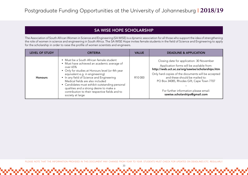## SA WISE HOPE SCHOLARSHIP

The Association of South African Women in Science and Engineering (SA WISE) is a dynamic association for all those who support the idea of strengthening the role of women in science and engineering in South Africa. The SA WISE Hope invites female students in the field of Science and Engineering to apply for the scholarship in order to raise the profile of women scientists and engineers.

| <b>LEVEL OF STUDY</b> | <b>CRITERIA</b>                                                                                                                                                                                                                                                                                                                                                                                                                                | <b>VALUE</b> | <b>DEADLINE &amp; APPLICATION</b>                                                                                                                                                                                                                                                                                                                         |
|-----------------------|------------------------------------------------------------------------------------------------------------------------------------------------------------------------------------------------------------------------------------------------------------------------------------------------------------------------------------------------------------------------------------------------------------------------------------------------|--------------|-----------------------------------------------------------------------------------------------------------------------------------------------------------------------------------------------------------------------------------------------------------------------------------------------------------------------------------------------------------|
| <b>Honours</b>        | • Must be a South African female student<br>• Must have achieved an academic average of<br>over 65%<br>• Only for studies at Honours level (or 4th year<br>equivalent e.g. in engineering)<br>• In any field of Science and Engineering<br>Medical fields are also included<br>• Candidates must exhibit outstanding personal<br>qualities and a strong desire to make a<br>contribution to their respective fields and to<br>society at large | R10 000      | Closing date for application: 30 November<br>Application forms will be available from:<br>http://web.uct.ac.za/org/sawise/scholarships.htm<br>Only hard copies of the documents will be accepted<br>and these should be mailed to:<br>PO Box 34085, Rhodes Gift, Cape Town 7707<br>For further information please email:<br>sawise.scholarships@gmail.com |

PLEASE NOTE THAT THE INFORMATION PROVIDED IN THIS DOCUMENT MAY CHANGE FROM YEAR TO YEAR. STUDENTS MUST CHECK FOR UPDATES ON DEADLINES ETC. REGULARLY.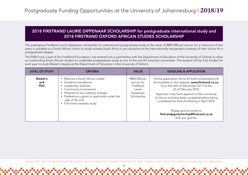## 2018 FIRSTRAND LAURIE DIPPENAAR SCHOLARSHIP for postgraduate international study and 2018 FIRSTRAND OXFORD AFRICAN STUDIES SCHOLARSHIP

The prestigious FirstRand Laurie Dippenaar scholarship for international postgraduate study to the value of R800 000 per annum for a maximum of two years is available to a South African citizen to study outside South Africa in any discipline at the internationally recognized university of their choice for a postgraduate degree.

The FNB Fund, a part of the FirstRand Foundation, has entered into a partnership with the Department of Education of the University of Oxford, to allow an outstanding South African student to undertake postgraduate study at one of the world's foremost universities. The student will be fully funded for each year to study Master's degree at the Department of Education in the University of Oxford.

| <b>LEVEL OF STUDY</b>         | <b>CRITERIA</b>                                                                                                                                                                                                                                          | <b>VALUE</b>                                                                 | <b>DEADLINE &amp; APPLICATION</b>                                                                                                                                                                                                                                                                                                                                                                                           |
|-------------------------------|----------------------------------------------------------------------------------------------------------------------------------------------------------------------------------------------------------------------------------------------------------|------------------------------------------------------------------------------|-----------------------------------------------------------------------------------------------------------------------------------------------------------------------------------------------------------------------------------------------------------------------------------------------------------------------------------------------------------------------------------------------------------------------------|
| Master's<br>and<br><b>PhD</b> | • Must be a South African citizen<br>• Academic excellence<br>• Leadership qualities<br>• Community involvement<br>• Potential to be a destiny changer<br>• Preference is given to applicants under the<br>age of 35; and<br>• First-time overseas study | R800 000 per<br>annum for<br>FirstRand<br>Laurie<br>Dippenaar<br>Scholarship | Online application forms for both scholarships will<br>be available on the website, www.firstrand.co.za,<br>from the 16th of December 2017 to the<br>22 of February 2018.<br>Applicant must have applied to their university<br>of choice and have been accepted before being<br>considered for final shortlisting in April 2018.<br>Please send an email to<br>firstrandpgscholarship@firstrand.co.za<br>with any queries. |

PLEASE NOTE THAT THE INFORMATION PROVIDED IN THIS DOCUMENT MAY CHANGE FROM YEAR TO YEAR. STUDENTS MUST CHECK FOR UPDATES ON DEADLINES ETC. REGULARLY.

34

<u>արտադարարարարարարարար</u>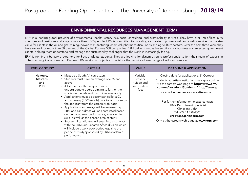## ENVIRONMENTAL RESOURCES MANAGEMENT (ERM)

ERM is a leading global provider of environmental, health, safety, risk, social consulting, and sustainability services. They have over 150 offices in 40 countries and territories and employ more than 5 000 people. ERM is committed to providing a consistent, professional, and quality service that creates value for clients in the oil and gas, mining, power, manufacturing, chemical, pharmaceutical, ports and agriculture sectors. Over the past three years they have worked for more than 50 percent of the Global Fortune 500 companies. ERM delivers innovative solutions for business and selected government clients, helping them understand and manage the sustainability challenges that the world is increasingly facing.

ERM is running a bursary programme for Post-graduate students. They are looking for dynamic young professionals to join their team of experts in Johannesburg, Cape Town, and Durban. ERM works on projects across Africa that require a broad range of skills and services

| <b>LEVEL OF STUDY</b>                     | <b>CRITERIA</b>                                                                                                                                                                                                                                                                                                                                                                                                                                                                                                                                                                                                                                                                                                                                                                                    | <b>VALUE</b>                                               | <b>DEADLINE &amp; APPLICATION</b>                                                                                                                                                                                                                                                                                                                                                                                                          |
|-------------------------------------------|----------------------------------------------------------------------------------------------------------------------------------------------------------------------------------------------------------------------------------------------------------------------------------------------------------------------------------------------------------------------------------------------------------------------------------------------------------------------------------------------------------------------------------------------------------------------------------------------------------------------------------------------------------------------------------------------------------------------------------------------------------------------------------------------------|------------------------------------------------------------|--------------------------------------------------------------------------------------------------------------------------------------------------------------------------------------------------------------------------------------------------------------------------------------------------------------------------------------------------------------------------------------------------------------------------------------------|
| Honours,<br>Master's<br>and<br><b>PhD</b> | • Must be a South African citizen.<br>• Students must have an average of 60% and<br>above<br>• All students with the appropriate<br>undergraduate degree aiming to further their<br>studies in the relevant disciplines may apply<br>• Applications must be accompanied by a CV<br>and an essay (3 000 words) on a topic chosen by<br>the applicant from the careers web page<br>• Applications and essays will be reviewed by<br>ERM and candidates will be short listed based<br>on their academic performance, essay writing<br>skills, as well as the chosen area of study<br>• Successful candidates will enter into a contract<br>with the ERM Sub-Saharan Africa division which<br>will include a work back period equal to the<br>period of study sponsored by ERM academic<br>performance | Variable,<br>covers<br>tuition and<br>registration<br>fees | Closing date for applications: 31 October<br>Students at tertiary institutions may apply online<br>via the careers web page at http://www.erm.<br>com/en/Locations/Southern-Africa/Careers/<br>or email sa.humanresources@erm.com<br>For further information, please contact:<br><b>ERM's Recruitment Specialist</b><br>Christiana John<br>Tel: +27 11 798 4300<br>christiana.john@erm.com<br>Or visit the careers web page at www.erm.com |

PLEASE NOTE THAT THE INFORMATION PROVIDED IN THIS DOCUMENT MAY CHANGE FROM YEAR TO YEAR. STUDENTS MUST CHECK FOR UPDATES ON DEADLINES ETC. REGULARLY.

անանանանանանանանանանանանանանան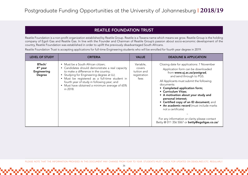## REATILE FOUNDATION TRUST

Reatile Foundation is a non-profit organization established by Reatile Group. Reatile is a Tswana name which means we grow. Reatile Group is the holding company of Egoli Gas and Reatile Gas. In line with the Founder and Chairman of Reatile Group's passion about socio-economic development of the country, Reatile Foundation was established in order to uplift the previously disadvantaged South Africans.

Reatile Foundation Trust is accepting applications for full-time Engineering students who will be enrolled for fourth year degree in 2019.

| <b>LEVEL OF STUDY</b>                                          | <b>CRITERIA</b>                                                                                                                                                                                                                                                                                                                 | <b>VALUE</b>                                               | <b>DEADLINE &amp; APPLICATION</b>                                                                                                                                                                                                                                                                                                                                                                                                                                                                                                        |
|----------------------------------------------------------------|---------------------------------------------------------------------------------------------------------------------------------------------------------------------------------------------------------------------------------------------------------------------------------------------------------------------------------|------------------------------------------------------------|------------------------------------------------------------------------------------------------------------------------------------------------------------------------------------------------------------------------------------------------------------------------------------------------------------------------------------------------------------------------------------------------------------------------------------------------------------------------------------------------------------------------------------------|
| BTech/<br>4 <sup>th</sup> year<br>Engineering<br><b>Degree</b> | • Must be a South African citizen;<br>Candidates should demonstrate a real capacity<br>to make a difference in the country;<br>Studying for Engineering degree at UJ;<br>Must be registered as a full-time student in<br>fourth year of study in following year; and<br>Must have obtained a minimum average of 65%<br>in 2018. | Variable,<br>covers<br>tuition and<br>registration<br>fees | Closing date for applications: 7 November<br>Application form can be downloaded<br>from www.uj.ac.za/postgrad,<br>and send through to PGS.<br>All Applicants must submit the following<br>documents:<br>• Completed application form;<br>• Curriculum Vitae;<br>• A motivation about your study and<br>personal interest;<br>• Certified copy of an ID document; and<br>• An academic record (must include marks<br>not a certificate)<br>For any information or clarity please contact<br>Betty @ 011 356 5067 or betty@egoligas.co.za/ |

PLEASE NOTE THAT THE INFORMATION PROVIDED IN THIS DOCUMENT MAY CHANGE FROM YEAR TO YEAR. STUDENTS MUST CHECK FOR UPDATES ON DEADLINES ETC. REGULARLY.

36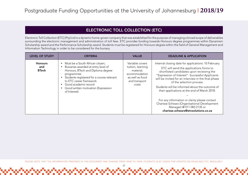## ELECTRONIC TOLL COLLECTION (ETC)

Electronic Toll Collection (ETC) (Pty) Ltd is a dynamic home-grown company that was established for the purpose of managing a broad scope of deliverables surrounding the electronic management and administration of toll fees. ETC provides funding towards Honours degree programmes within Dynamism Scholarship award and the Performance Scholarship award. Students must be registered for Honours degree within the field of General Management and Information Technology in order to be considered for the bursary.

| <b>LEVEL OF STUDY</b>                 | <b>CRITERIA</b>                                                                                                                                                                                                                                                                   | <b>VALUE</b>                                                                                                    | <b>DEADLINE &amp; APPLICATION</b>                                                                                                                                                                                                                                                                                                                                                                                                                                                                                                                          |
|---------------------------------------|-----------------------------------------------------------------------------------------------------------------------------------------------------------------------------------------------------------------------------------------------------------------------------------|-----------------------------------------------------------------------------------------------------------------|------------------------------------------------------------------------------------------------------------------------------------------------------------------------------------------------------------------------------------------------------------------------------------------------------------------------------------------------------------------------------------------------------------------------------------------------------------------------------------------------------------------------------------------------------------|
| <b>Honours</b><br>and<br><b>BTech</b> | Must be a South African citizen;<br>Bursaries awarded at entry level of<br>Honours, BTech and Diploma degree<br>programmes<br>Students registered for a course relevant<br>to ETC career framework<br>Good academic record<br>Good written motivation (Expression<br>of Interest) | Variable covers<br>tuition, learning<br>material,<br>accommodation<br>as well as food<br>and transport<br>costs | Internal closing date for applications: 10 February<br>ETC will send the applications forms to<br>shortlisted candidates upon reviewing the<br>"Expression of Interest". Successful Applicants<br>will be invited for an interview in the final phase<br>of the selection process.<br>Students will be informed about the outcome of<br>their applications at the end of March 2018.<br>For any information or clarity please contact<br>Charisse Schwarz (Organisational Development<br>Manager) @ 011 083 2135 or<br>charisse.schwarz@etcsolutions.co.za |

PLEASE NOTE THAT THE INFORMATION PROVIDED IN THIS DOCUMENT MAY CHANGE FROM YEAR TO YEAR. STUDENTS MUST CHECK FOR UPDATES ON DEADLINES ETC. REGULARLY.

37

<u> Ուսիսյիայի արտադարարարարարարարար</u>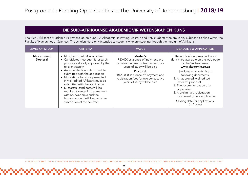#### DIE SUID-AFRIKAANSE AKADEMIE VIR WETENSKAP EN KUNS

The Suid-Afrikaanse Akademie vir Wetenskap en Kuns (SA Akademie) is inviting Master's and PhD students who are in any subject discipline within the Faculty of Humanities or Sciences. The scholarship is only intended to students who are studying through the medium of Afrikaans.

| LEVEL OF STUDY                  | <b>CRITERIA</b>                                                                                                                                                                                                                                                                                                                                     | <b>VALUE</b>                                                                                                            | <b>DEADLINE &amp; APPLICATION</b>                                                                                                                                                                                                                               |
|---------------------------------|-----------------------------------------------------------------------------------------------------------------------------------------------------------------------------------------------------------------------------------------------------------------------------------------------------------------------------------------------------|-------------------------------------------------------------------------------------------------------------------------|-----------------------------------------------------------------------------------------------------------------------------------------------------------------------------------------------------------------------------------------------------------------|
| Master's and<br><b>Doctoral</b> | • Must be a South African citizen<br>• Candidates must submit research<br>proposals already approved by the<br>relevant faculty                                                                                                                                                                                                                     | Master's:<br>R60 000 as a once-off payment and<br>registration fees for two consecutive<br>years of study will be paid  | The application forms and more<br>details are available on the web page<br>of the SA Akademie:<br>www.akademie.co.za                                                                                                                                            |
|                                 | • An estimated quotation must be<br>submitted with the application<br>• Motivations for study presented<br>in well-edited Afrikaans must be<br>submitted with the application<br>• Successful candidates will be<br>required to enter into agreement<br>with SA Akademie and the<br>bursary amount will be paid after<br>submission of the contract | Doctoral:<br>R120 000 as a once-off payment and<br>registration fees for two consecutive<br>years of study will be paid | Students must submit the<br>following documents:<br>1. An approved, well-edited<br>research proposal<br>2. The recommendation of a<br>supervisor<br>3. A preliminary registration<br>document (where applicable)<br>Closing date for applications:<br>31 August |

PLEASE NOTE THAT THE INFORMATION PROVIDED IN THIS DOCUMENT MAY CHANGE FROM YEAR TO YEAR. STUDENTS MUST CHECK FOR UPDATES ON DEADLINES ETC. REGULARLY.

38

<u> Ուսիսիայի արտադարարար</u>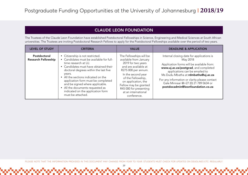## CLAUDE LEON FOUNDATION

The Trustees of the Claude Leon Foundation have established Postdoctoral Fellowships in Science, Engineering and Medical Sciences at South African universities. The Trustees are inviting Postdoctoral Research Fellows to apply for the Postdoctoral Fellowships available over the period of two years.

| <b>LEVEL OF STUDY</b>                      | <b>CRITERIA</b>                                                                                                                                                                                                                                                                                                                                                                                                | <b>VALUE</b>                                                                                                                                                                                                                                                                       | <b>DEADLINE &amp; APPLICATION</b>                                                                                                                                                                                                                                                                                                                 |
|--------------------------------------------|----------------------------------------------------------------------------------------------------------------------------------------------------------------------------------------------------------------------------------------------------------------------------------------------------------------------------------------------------------------------------------------------------------------|------------------------------------------------------------------------------------------------------------------------------------------------------------------------------------------------------------------------------------------------------------------------------------|---------------------------------------------------------------------------------------------------------------------------------------------------------------------------------------------------------------------------------------------------------------------------------------------------------------------------------------------------|
| Postdoctoral<br><b>Research Fellowship</b> | • Citizenship is not restricted.<br>• Candidates must be available for full-<br>time research at UJ.<br>• Candidates must have obtained their<br>doctoral degrees within the last five<br>years.<br>• All the sections indicated on the<br>application form must be completed<br>and be signed where applicable.<br>• All the documents requested as<br>indicated on the application form<br>must be attached. | The Fellowships will be<br>available from January<br>2019 for two years<br>and are available at<br>R275 000 per annum.<br>In the second year<br>of the Fellowship,<br>on application, the<br>Fellow may be granted<br>R45 000 for presenting<br>at an international<br>conference. | Internal closing date for applications is<br>May 2018<br>Application forms will be available from:<br>www.uj.ac.za/postgrad, and completed<br>applications can be emailed to<br>Ms Dudu Mbatha at rdmbatha@uj.ac.za<br>For any information or clarity please contact<br>Gale Minnaar @+27 (0) 21 789 0634 or<br>postdocadmin@leonfoundation.co.za |

PLEASE NOTE THAT THE INFORMATION PROVIDED IN THIS DOCUMENT MAY CHANGE FROM YEAR TO YEAR. STUDENTS MUST CHECK FOR UPDATES ON DEADLINES ETC. REGULARLY.

39

<u>ით და და და და და და და და და და დ</u>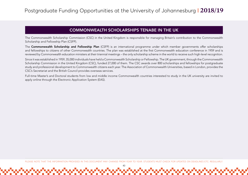## COMMONWEALTH SCHOLARSHIPS TENABE IN THE UK

The Commonwealth Scholarship Commission (CSC) in the United Kingdom is responsible for managing Britain's contribution to the Commonwealth Scholarship and Fellowship Plan (CSFP).

The Commonwealth Scholarship and Fellowship Plan (CSFP) is an international programme under which member governments offer scholarships and fellowships to citizens of other Commonwealth countries. The plan was established at the first Commonwealth education conference in 1959 and is reviewed by Commonwealth education ministers at their triennial meetings – the only scholarship scheme in the world to receive such high-level recognition.

Since it was established in 1959, 35,000 individuals have held a Commonwealth Scholarship or Fellowship. The UK government, through the Commonwealth Scholarship Commission in the United Kingdom (CSC), funded 27,000 of them. The CSC awards over 800 scholarships and fellowships for postgraduate study and professional development to Commonwealth citizens each year. The Association of Commonwealth Universities, based in London, provides the CSC's Secretariat and the British Council provides overseas services.

Full-time Master's and Doctoral students from low and middle income Commonwealth countries interested to study in the UK university are invited to apply online through the Electronic Application System (EAS).

PLEASE NOTE THAT THE INFORMATION PROVIDED IN THIS DOCUMENT MAY CHANGE FROM YEAR TO YEAR. STUDENTS MUST CHECK FOR UPDATES ON DEADLINES ETC. REGULARLY.

ו המוסיף המוסיף המוסיף המוסיף המוסיף המוסיף המוסיף המוסיף המוסיף המוסיף המוסיף המוסיף המוסיף המוסיף המוסיף המו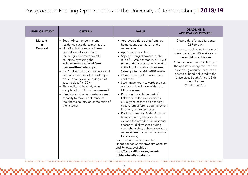| <b>LEVEL OF STUDY</b>             | <b>CRITERIA</b>                                                                                                                                                                                                                                                                                                                                                                                                                                                                                                                                                                                                      | <b>VALUE</b>                                                                                                                                                                                                                                                                                                                                                                                                                                                                                                                                                                                                                                                                                                                                                                                                                                                                                                                                                                                                                                                              | <b>DEADLINE &amp;</b><br><b>APPLICATION PROCESS</b>                                                                                                                                                                                                                                                                                                                  |
|-----------------------------------|----------------------------------------------------------------------------------------------------------------------------------------------------------------------------------------------------------------------------------------------------------------------------------------------------------------------------------------------------------------------------------------------------------------------------------------------------------------------------------------------------------------------------------------------------------------------------------------------------------------------|---------------------------------------------------------------------------------------------------------------------------------------------------------------------------------------------------------------------------------------------------------------------------------------------------------------------------------------------------------------------------------------------------------------------------------------------------------------------------------------------------------------------------------------------------------------------------------------------------------------------------------------------------------------------------------------------------------------------------------------------------------------------------------------------------------------------------------------------------------------------------------------------------------------------------------------------------------------------------------------------------------------------------------------------------------------------------|----------------------------------------------------------------------------------------------------------------------------------------------------------------------------------------------------------------------------------------------------------------------------------------------------------------------------------------------------------------------|
| Master's<br>or<br><b>Doctoral</b> | • South African or permanent<br>residence candidates may apply.<br>• Non-South African candidates<br>are welcome to apply from<br>their eligible Commonwealth<br>countries by visiting the<br>website: www.acu.ac.uk/com-<br>monwealth-scholarships.<br>• By October 2018, candidates should<br>hold a first degree of at least upper<br>class Honours level or a degree of<br>second class (i.e. 70%+).<br>• The quality of the study plan<br>completed on EAS will be assessed.<br>• Candidates who demonstrate a real<br>capacity to make a difference to<br>their home country on completion of<br>their studies | • Approved airfare ticket from your<br>home country to the UK and a<br>return ticket.<br>• Approved tuition fees.<br>• Stipend (living allowance) at the<br>rate of £1,065 per month, or £1,306<br>per month for those at universities<br>in the London metropolitan area<br>(rates quoted at 2017-2018 levels).<br>• Warm clothing allowance, where<br>applicable<br>• Study travel grant towards the cost<br>of study-related travel within the<br>UK or overseas<br>• Provision towards the cost of<br>fieldwork undertaken overseas<br>(usually the cost of one economy<br>class return airfare to your fieldwork<br>location), where approved<br>• Paid mid-term visit (airfare) to your<br>home country (unless you have<br>claimed (or intend to claim) spouse<br>and/or child allowances during<br>your scholarship, or have received a<br>return airfare to your home country<br>for fieldwork)<br>For more information, see the<br>Handbook for Commonwealth Scholars<br>and Fellows, available at<br>http://cscuk.dfid.gov.uk/award-<br>holders/handbook-forms | Closing date for applications:<br>22 February<br>In order to apply candidates must<br>make use of the EAS available on<br>www.dfid.gov.uk/cscuk<br>One hard electronic hard copy of<br>the application together with the<br>supporting documents must be<br>posted or hand delivered to the<br>Universities South Africa (USAf)<br>on or before<br>27 February 2018. |

PLEASE NOTE THAT THE INFORMATION PROVIDED IN THIS DOCUMENT MAY CHANGE FROM YEAR TO YEAR. STUDENTS MUST CHECK FOR UPDATES ON DEADLINES ETC. REGULARLY.